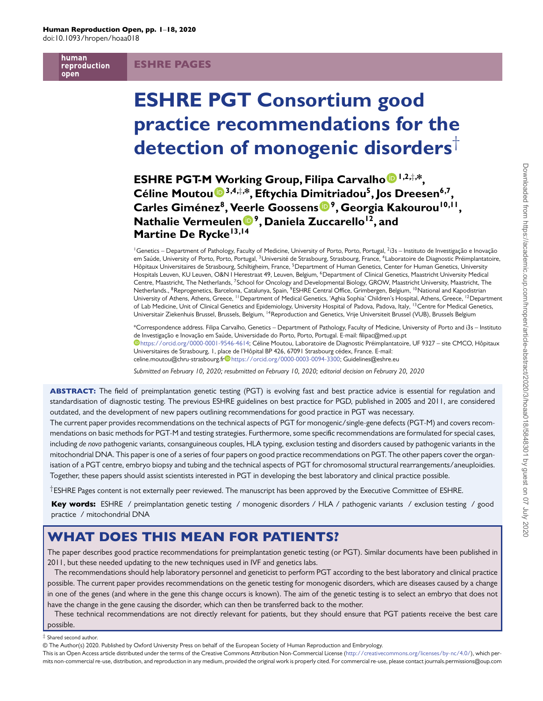human reproduction open

# ESHRE PAGES

# **ESHRE PGT Consortium good practice recommendations for the detection of monogenic disorders**†

**ESHRE PGT-M [W](http://orcid.org/0000-0003-0094-3300 )orking Group, Filipa Carvalh[o](http://orcid.org/0000-0001-9546-4614) 1,2,**‡**, \*, Céline Moutou 3,4,**‡**, \*, Eftychia Di[mit](http://orcid.org/0000-0002-9342-2143)riadou5, Jos Dreesen6,7, Carles Giménez8, V[eer](http://orcid.org/0000-0001-8046-6799)le Goossens 9, Georgia Kakourou10,11, Nathalie Vermeulen 9, Daniela Zuccarello12, and Martine De Rycke13,14**

<sup>1</sup>Genetics – Department of Pathology, Faculty of Medicine, University of Porto, Porto, Portugal, <sup>2</sup>i3s – Instituto de Investigação e Inovação em Saúde, University of Porto, Porto, Portugal, <sup>3</sup>Université de Strasbourg, Strasbourg, France, <sup>4</sup>Laboratoire de Diagnostic Préimplantatoire, Hôpitaux Universitaires de Strasbourg, Schiltigheim, France, <sup>5</sup>Department of Human Genetics, Center for Human Genetics, University Hospitals Leuven, KU Leuven, O&N I Herestraat 49, Leuven, Belgium, <sup>6</sup>Department of Clinical Genetics, Maastricht University Medical Centre, Maastricht, The Netherlands, 7School for Oncology and Developmental Biology, GROW, Maastricht University, Maastricht, The Netherlands., <sup>8</sup>Reprogenetics, Barcelona, Catalunya, Spain, <sup>9</sup>ESHRE Central Office, Grimbergen, Belgium, <sup>10</sup>National and Kapodistrian University of Athens, Athens, Greece, <sup>11</sup>Department of Medical Genetics, 'Aghia Sophia' Children's Hospital, Athens, Greece, <sup>12</sup>Department of Lab Medicine, Unit of Clinical Genetics and Epidemiology, University Hospital of Padova, Padova, Italy, <sup>13</sup>Centre for Medical Genetics, Universitair Ziekenhuis Brussel, Brussels, Belgium, 14Reproduction and Genetics, Vrije Universiteit Brussel (VUB), Brussels Belgium

\*Correspondence address. Filipa Carvalho, Genetics – Department of Pathology, Faculty of Medicine, University of Porto and i3s – Instituto [de](https://orcid.org/0000-0001-9546-4614) Investigação e Inovação em Saúde, Universidade do Porto, Porto, Portugal. E-mail: filipac@med.up.pt [https://orcid.org/0000-0001-9546-4614;](https://orcid.org/0000-0001-9546-4614) Céline Moutou, Laboratoire de Diagnostic Préimplantatoire, UF 9327 – site CMCO, Hôpitaux Universitaires de Strasbourg, 1, place de l'Hôpital BP 426, 67091 Strasbourg cédex, France. E-mail: celine.moutou@ch[r](https://orcid.org/0000-0001-9546-4614)u-strasbourg.fr<sup>idhet</sup>[https://orcid.org/0000-0003-0094-3300;](https://orcid.org/0000-0001-9546-4614) Guidelines@eshre.eu

*Submitted on February 10, 2020; resubmitted on February 10, 2020; editorial decision on February 20, 2020*

ABSTRACT: The field of preimplantation genetic testing (PGT) is evolving fast and best practice advice is essential for regulation and standardisation of diagnostic testing. The previous ESHRE guidelines on best practice for PGD, published in 2005 and 2011, are considered outdated, and the development of new papers outlining recommendations for good practice in PGT was necessary.

The current paper provides recommendations on the technical aspects of PGT for monogenic/single-gene defects (PGT-M) and covers recommendations on basic methods for PGT-M and testing strategies. Furthermore, some specific recommendations are formulated for special cases, including *de novo* pathogenic variants, consanguineous couples, HLA typing, exclusion testing and disorders caused by pathogenic variants in the mitochondrial DNA. This paper is one of a series of four papers on good practice recommendations on PGT. The other papers cover the organisation of a PGT centre, embryo biopsy and tubing and the technical aspects of PGT for chromosomal structural rearrangements/aneuploidies. Together, these papers should assist scientists interested in PGT in developing the best laboratory and clinical practice possible.

†ESHRE Pages content is not externally peer reviewed. The manuscript has been approved by the Executive Committee of ESHRE.

Key words: ESHRE / preimplantation genetic testing / monogenic disorders / HLA / pathogenic variants / exclusion testing / good practice / mitochondrial DNA

# WHAT DOES THIS MEAN FOR PATIENTS?

The paper describes good practice recommendations for preimplantation genetic testing (or PGT). Similar documents have been published in 2011, but these needed updating to the new techniques used in IVF and genetics labs.

The recommendations should help laboratory personnel and geneticist to perform PGT according to the best laboratory and clinical practice possible. The current paper provides recommendations on the genetic testing for monogenic disorders, which are diseases caused by a change in one of the genes (and where in the gene this change occurs is known). The aim of the genetic testing is to select an embryo that does not have the change in the gene causing the disorder, which can then be transferred back to the mother.

These technical recommendations are not directly relevant for patients, but they should ensure that PGT patients receive the best care possible.

#### ‡ Shared second author.

This is an Open Access article distributed under the terms of the Creative Commons Attribution Non-Commercial License [\(http://creativecommons.org/licenses/by-nc/4.0/\)](http://creativecommons.org/licenses/by-nc/4.0/), which permits non-commercial re-use, distribution, and reproduction in any medium, provided the original work is properly cited. For commercial re-use, please contact journals.permissions@oup.com

<sup>©</sup> The Author(s) 2020. Published by Oxford University Press on behalf of the European Society of Human Reproduction and Embryology.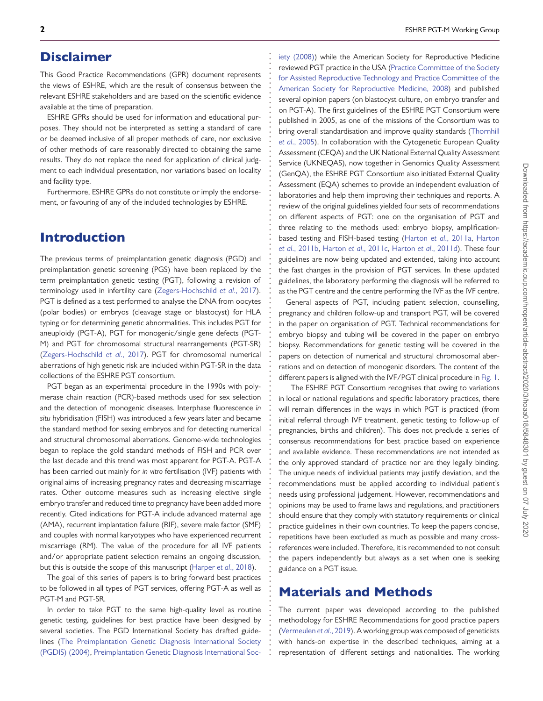# Disclaimer

This Good Practice Recommendations (GPR) document represents the views of ESHRE, which are the result of consensus between the relevant ESHRE stakeholders and are based on the scientific evidence available at the time of preparation.

**. . . . . . . . . . . . . . . . . . . . . . . . . . . . . . . . . . . . . . . . . . . . . . . . . . . . . . . . . . . . . . . . . . . . . . . . . . . . . . . . . . . . . . . . . . . . . . . . . . . . . . . . . . . . . . . . . . . . . . . . . . . .**

ESHRE GPRs should be used for information and educational purposes. They should not be interpreted as setting a standard of care or be deemed inclusive of all proper methods of care, nor exclusive of other methods of care reasonably directed to obtaining the same results. They do not replace the need for application of clinical judgment to each individual presentation, nor variations based on locality and facility type.

Furthermore, ESHRE GPRs do not constitute or imply the endorsement, or favouring of any of the included technologies by ESHRE.

# Introduction

The previous terms of preimplantation genetic diagnosis (PGD) and preimplantation genetic screening (PGS) have been replaced by the term preimplantation genetic testing (PGT), following a revision of terminology used in infertility care [\(Zegers-Hochschild](#page-17-0) *et al*., 2017). PGT is defined as a test performed to analyse the DNA from oocytes (polar bodies) or embryos (cleavage stage or blastocyst) for HLA typing or for determining genetic abnormalities. This includes PGT for aneuploidy (PGT-A), PGT for monogenic/single gene defects (PGT-M) and PGT for chromosomal structural rearrangements (PGT-SR) [\(Zegers-Hochschild](#page-17-0) *et al*., 2017). PGT for chromosomal numerical aberrations of high genetic risk are included within PGT-SR in the data collections of the ESHRE PGT consortium.

PGT began as an experimental procedure in the 1990s with polymerase chain reaction (PCR)-based methods used for sex selection and the detection of monogenic diseases. Interphase fluorescence *in situ* hybridisation (FISH) was introduced a few years later and became the standard method for sexing embryos and for detecting numerical and structural chromosomal aberrations. Genome-wide technologies began to replace the gold standard methods of FISH and PCR over the last decade and this trend was most apparent for PGT-A. PGT-A has been carried out mainly for *in vitro* fertilisation (IVF) patients with original aims of increasing pregnancy rates and decreasing miscarriage rates. Other outcome measures such as increasing elective single embryo transfer and reduced time to pregnancy have been added more recently. Cited indications for PGT-A include advanced maternal age (AMA), recurrent implantation failure (RIF), severe male factor (SMF) and couples with normal karyotypes who have experienced recurrent miscarriage (RM). The value of the procedure for all IVF patients and/or appropriate patient selection remains an ongoing discussion, but this is outside the scope of this manuscript [\(Harper](#page-16-0) *et al*., 2018).

The goal of this series of papers is to bring forward best practices to be followed in all types of PGT services, offering PGT-A as well as PGT-M and PGT-SR.

In order to take PGT to the same high-quality level as routine genetic testing, guidelines for best practice have been designed by several societies. The PGD International Society has drafted guide[lines \(The Preimplantation Genetic Diagnosis International Society](#page-16-1) (PGDIS) (2004), [Preimplantation Genetic Diagnosis International Soc-](#page-16-2) [iety \(2008\)\)](#page-16-2) while the American Society for Reproductive Medicine reviewed PGT practice in the USA (Practice Committee of the Society for Assisted Reproductive Technology and Practice Committee of the [American Society for Reproductive Medicine, 2008\) and published](#page-16-3) several opinion papers (on blastocyst culture, on embryo transfer and on PGT-A). The first guidelines of the ESHRE PGT Consortium were published in 2005, as one of the missions of the Consortium was to [bring overall standardisation and improve quality standards \(Thornhill](#page-16-4) *et al*., 2005). In collaboration with the Cytogenetic European Quality Assessment (CEQA) and the UK National External Quality Assessment Service (UKNEQAS), now together in Genomics Quality Assessment (GenQA), the ESHRE PGT Consortium also initiated External Quality Assessment (EQA) schemes to provide an independent evaluation of laboratories and help them improving their techniques and reports. A review of the original guidelines yielded four sets of recommendations on different aspects of PGT: one on the organisation of PGT and three relating to the methods used: embryo biopsy, amplification[based testing and FISH-based testing \(Harton](#page-16-6) *et al*[., 2011a,](#page-16-5) Harton *et al*., 2011b, Harton *et al*[., 2011c,](#page-16-7) Harton *et al*[., 2011d\)](#page-16-8). These four guidelines are now being updated and extended, taking into account the fast changes in the provision of PGT services. In these updated guidelines, the laboratory performing the diagnosis will be referred to as the PGT centre and the centre performing the IVF as the IVF centre.

General aspects of PGT, including patient selection, counselling, pregnancy and children follow-up and transport PGT, will be covered in the paper on organisation of PGT. Technical recommendations for embryo biopsy and tubing will be covered in the paper on embryo biopsy. Recommendations for genetic testing will be covered in the papers on detection of numerical and structural chromosomal aberrations and on detection of monogenic disorders. The content of the different papers is aligned with the IVF/PGT clinical procedure in [Fig. 1.](#page-2-0)

The ESHRE PGT Consortium recognises that owing to variations in local or national regulations and specific laboratory practices, there will remain differences in the ways in which PGT is practiced (from initial referral through IVF treatment, genetic testing to follow-up of pregnancies, births and children). This does not preclude a series of consensus recommendations for best practice based on experience and available evidence. These recommendations are not intended as the only approved standard of practice nor are they legally binding. The unique needs of individual patients may justify deviation, and the recommendations must be applied according to individual patient's needs using professional judgement. However, recommendations and opinions may be used to frame laws and regulations, and practitioners should ensure that they comply with statutory requirements or clinical practice guidelines in their own countries. To keep the papers concise, repetitions have been excluded as much as possible and many crossreferences were included. Therefore, it is recommended to not consult the papers independently but always as a set when one is seeking guidance on a PGT issue.

# Materials and Methods

The current paper was developed according to the published methodology for ESHRE Recommendations for good practice papers [\(Vermeulen](#page-17-1) *et al*., 2019). A working group was composed of geneticists with hands-on expertise in the described techniques, aiming at a representation of different settings and nationalities. The working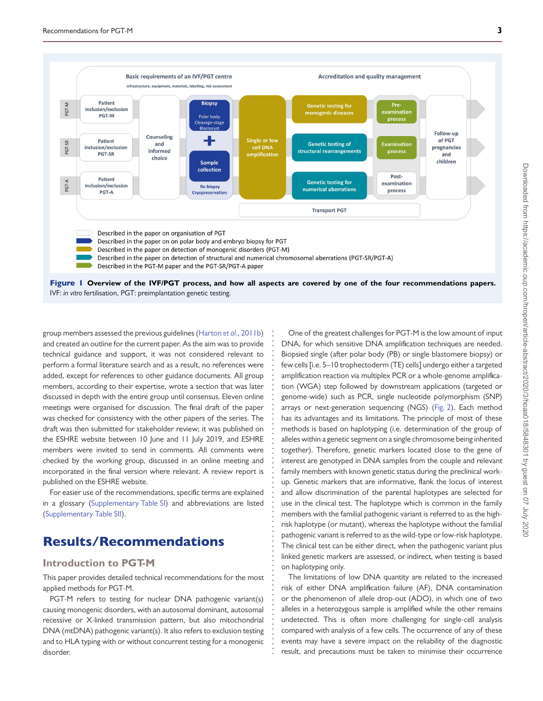

Figure 1 **Overview of the IVF/PGT process, and how all aspects are covered by one of the four recommendations papers.** IVF: *in vitro* fertilisation, PGT: preimplantation genetic testing.

**. . . . . . . . . . . . . . . . . . . . . . . . . . . . . . . . . . . . . . . . . . . . . . . . . . . . . . . . . . . . . . . . . . .**

<span id="page-2-0"></span>group members assessed the previous guidelines (Harton *et al*[., 2011b\)](#page-16-6) and created an outline for the current paper. As the aim was to provide technical guidance and support, it was not considered relevant to perform a formal literature search and as a result, no references were added, except for references to other guidance documents. All group members, according to their expertise, wrote a section that was later discussed in depth with the entire group until consensus. Eleven online meetings were organised for discussion. The final draft of the paper was checked for consistency with the other papers of the series. The draft was then submitted for stakeholder review; it was published on the ESHRE website between 10 June and 11 July 2019, and ESHRE members were invited to send in comments. All comments were checked by the working group, discussed in an online meeting and incorporated in the final version where relevant. A review report is published on the ESHRE website.

For easier use of the recommendations, specific terms are explained in a glossary [\(Supplementary Table SI\)](https://academic.oup.com/hropen/article-lookup/doi/10.1093/hropen/hoaa018#supplementary-data) and abbreviations are listed [\(Supplementary Table SII\)](https://academic.oup.com/hropen/article-lookup/doi/10.1093/hropen/hoaa018#supplementary-data).

# Results/Recommendations

### **Introduction to PGT-M**

This paper provides detailed technical recommendations for the most applied methods for PGT-M.

PGT-M refers to testing for nuclear DNA pathogenic variant(s) causing monogenic disorders, with an autosomal dominant, autosomal recessive or X-linked transmission pattern, but also mitochondrial DNA (mtDNA) pathogenic variant(s). It also refers to exclusion testing and to HLA typing with or without concurrent testing for a monogenic disorder.

One of the greatest challenges for PGT-M is the low amount of input DNA, for which sensitive DNA amplification techniques are needed. Biopsied single (after polar body (PB) or single blastomere biopsy) or few cells [i.e. 5–10 trophectoderm (TE) cells] undergo either a targeted amplification reaction via multiplex PCR or a whole-genome amplification (WGA) step followed by downstream applications (targeted or genome-wide) such as PCR, single nucleotide polymorphism (SNP) arrays or next-generation sequencing (NGS) [\(Fig. 2\)](#page-3-0). Each method has its advantages and its limitations. The principle of most of these methods is based on haplotyping (i.e. determination of the group of alleles within a genetic segment on a single chromosome being inherited together). Therefore, genetic markers located close to the gene of interest are genotyped in DNA samples from the couple and relevant family members with known genetic status during the preclinical workup. Genetic markers that are informative, flank the locus of interest and allow discrimination of the parental haplotypes are selected for use in the clinical test. The haplotype which is common in the family members with the familial pathogenic variant is referred to as the highrisk haplotype (or mutant), whereas the haplotype without the familial pathogenic variant is referred to as the wild-type or low-risk haplotype. The clinical test can be either direct, when the pathogenic variant plus linked genetic markers are assessed, or indirect, when testing is based on haplotyping only.

The limitations of low DNA quantity are related to the increased risk of either DNA amplification failure (AF), DNA contamination or the phenomenon of allele drop-out (ADO), in which one of two alleles in a heterozygous sample is amplified while the other remains undetected. This is often more challenging for single-cell analysis compared with analysis of a few cells. The occurrence of any of these events may have a severe impact on the reliability of the diagnostic result, and precautions must be taken to minimise their occurrence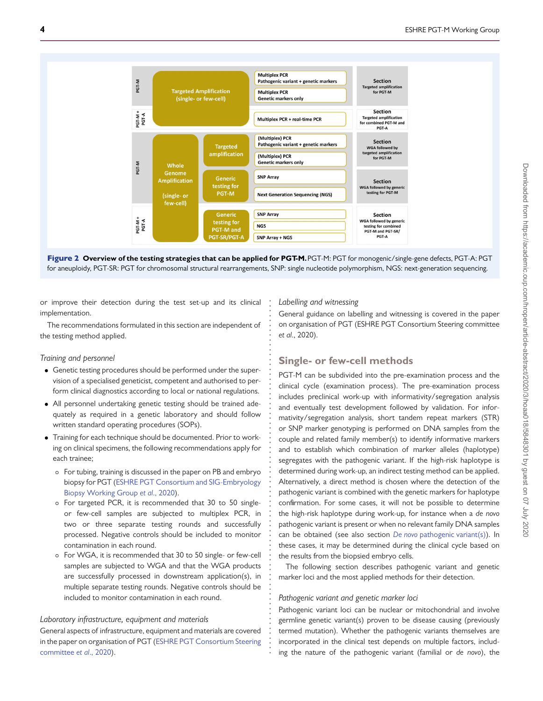



**. . . . . . . . . . . . . . . . . . . . . . . . . . . . . . . . . . . . . . . . . . . . . . . . . . . . . . . . . . . . . . . . . . . . . . . . .**

or improve their detection during the test set-up and its clinical implementation.

The recommendations formulated in this section are independent of the testing method applied.

#### <span id="page-3-0"></span>*Training and personnel*

- Genetic testing procedures should be performed under the supervision of a specialised geneticist, competent and authorised to perform clinical diagnostics according to local or national regulations.
- All personnel undertaking genetic testing should be trained adequately as required in a genetic laboratory and should follow written standard operating procedures (SOPs).
- Training for each technique should be documented. Prior to working on clinical specimens, the following recommendations apply for each trainee;
	- For tubing, training is discussed in the paper on PB and embryo [biopsy for PGT \(ESHRE PGT Consortium and SIG-Embryology](#page-16-9) Biopsy Working Group *et al*., 2020).
	- For targeted PCR, it is recommended that 30 to 50 singleor few-cell samples are subjected to multiplex PCR, in two or three separate testing rounds and successfully processed. Negative controls should be included to monitor contamination in each round.
	- For WGA, it is recommended that 30 to 50 single- or few-cell samples are subjected to WGA and that the WGA products are successfully processed in downstream application(s), in multiple separate testing rounds. Negative controls should be included to monitor contamination in each round.

### *Laboratory infrastructure, equipment and materials*

General aspects of infrastructure, equipment and materials are covered [in the paper on organisation of PGT \(ESHRE PGT Consortium Steering](#page-16-10) committee *et al*., 2020).

#### *Labelling and witnessing*

General guidance on labelling and witnessing is covered in the paper on organisation of PGT (ESHRE PGT Consortium Steering committee *et al*., 2020).

# **Single- or few-cell methods**

PGT-M can be subdivided into the pre-examination process and the clinical cycle (examination process). The pre-examination process includes preclinical work-up with informativity/segregation analysis and eventually test development followed by validation. For informativity/segregation analysis, short tandem repeat markers (STR) or SNP marker genotyping is performed on DNA samples from the couple and related family member(s) to identify informative markers and to establish which combination of marker alleles (haplotype) segregates with the pathogenic variant. If the high-risk haplotype is determined during work-up, an indirect testing method can be applied. Alternatively, a direct method is chosen where the detection of the pathogenic variant is combined with the genetic markers for haplotype confirmation. For some cases, it will not be possible to determine the high-risk haplotype during work-up, for instance when a *de novo* pathogenic variant is present or when no relevant family DNA samples can be obtained (see also section *De novo* [pathogenic variant\(s\)\)](#page-13-0). In these cases, it may be determined during the clinical cycle based on the results from the biopsied embryo cells.

The following section describes pathogenic variant and genetic marker loci and the most applied methods for their detection.

#### *Pathogenic variant and genetic marker loci*

Pathogenic variant loci can be nuclear or mitochondrial and involve germline genetic variant(s) proven to be disease causing (previously termed mutation). Whether the pathogenic variants themselves are incorporated in the clinical test depends on multiple factors, including the nature of the pathogenic variant (familial or *de novo*), the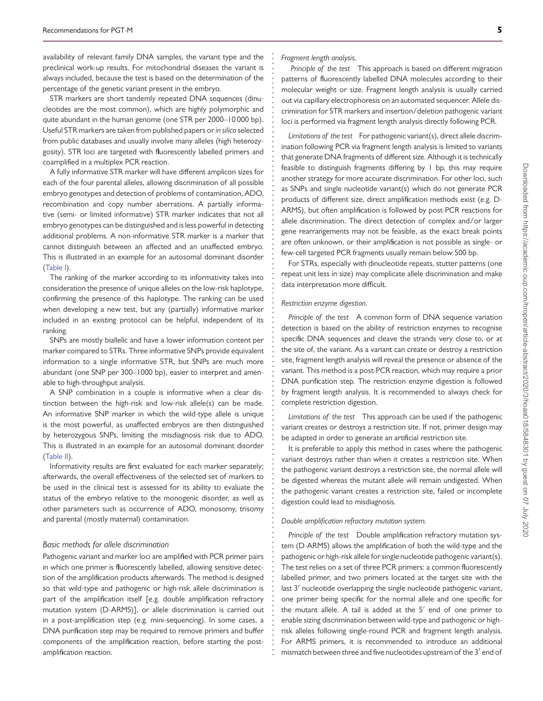availability of relevant family DNA samples, the variant type and the preclinical work-up results. For mitochondrial diseases the variant is always included, because the test is based on the determination of the percentage of the genetic variant present in the embryo.

STR markers are short tandemly repeated DNA sequences (dinucleotides are the most common), which are highly polymorphic and quite abundant in the human genome (one STR per 2000–10 000 bp). Useful STR markers are taken from published papers or*in silico* selected from public databases and usually involve many alleles (high heterozygosity). STR loci are targeted with fluorescently labelled primers and coamplified in a multiplex PCR reaction.

A fully informative STR marker will have different amplicon sizes for each of the four parental alleles, allowing discrimination of all possible embryo genotypes and detection of problems of contamination, ADO, recombination and copy number aberrations. A partially informative (semi- or limited informative) STR marker indicates that not all embryo genotypes can be distinguished and is less powerful in detecting additional problems. A non-informative STR marker is a marker that cannot distinguish between an affected and an unaffected embryo. This is illustrated in an example for an autosomal dominant disorder [\(Table I\)](#page-5-0).

The ranking of the marker according to its informativity takes into consideration the presence of unique alleles on the low-risk haplotype, confirming the presence of this haplotype. The ranking can be used when developing a new test, but any (partially) informative marker included in an existing protocol can be helpful, independent of its ranking.

SNPs are mostly biallelic and have a lower information content per marker compared to STRs. Three informative SNPs provide equivalent information to a single informative STR, but SNPs are much more abundant (one SNP per 300–1000 bp), easier to interpret and amenable to high-throughput analysis.

A SNP combination in a couple is informative when a clear distinction between the high-risk and low-risk allele(s) can be made. An informative SNP marker in which the wild-type allele is unique is the most powerful, as unaffected embryos are then distinguished by heterozygous SNPs, limiting the misdiagnosis risk due to ADO. This is illustrated in an example for an autosomal dominant disorder [\(Table II\)](#page-6-0).

Informativity results are first evaluated for each marker separately; afterwards, the overall effectiveness of the selected set of markers to be used in the clinical test is assessed for its ability to evaluate the status of the embryo relative to the monogenic disorder, as well as other parameters such as occurrence of ADO, monosomy, trisomy and parental (mostly maternal) contamination.

#### *Basic methods for allele discrimination*

Pathogenic variant and marker loci are amplified with PCR primer pairs in which one primer is fluorescently labelled, allowing sensitive detection of the amplification products afterwards. The method is designed so that wild-type and pathogenic or high-risk allele discrimination is part of the amplification itself [e.g. double amplification refractory mutation system (D-ARMS)], or allele discrimination is carried out in a post-amplification step (e.g. mini-sequencing). In some cases, a DNA purification step may be required to remove primers and buffer components of the amplification reaction, before starting the postamplification reaction.

#### *Fragment length analysis.*

**. . . . . . . . . . . . . . . . . . . . . . . . . . . . . . . . . . . . . . . . . . . . . . . . . . . . . . . . . . . . . . . . . . . . . . . . . . . . . . . . . . . . . . . . . . . . . . . . . . . . . . . . . . . . . . . . . . . . . . . . . . . .**

*Principle of the test* This approach is based on different migration patterns of fluorescently labelled DNA molecules according to their molecular weight or size. Fragment length analysis is usually carried out via capillary electrophoresis on an automated sequencer. Allele discrimination for STR markers and insertion/deletion pathogenic variant loci is performed via fragment length analysis directly following PCR.

*Limitations of the test* For pathogenic variant(s), direct allele discrimination following PCR via fragment length analysis is limited to variants that generate DNA fragments of different size. Although it is technically feasible to distinguish fragments differing by 1 bp, this may require another strategy for more accurate discrimination. For other loci, such as SNPs and single nucleotide variant(s) which do not generate PCR products of different size, direct amplification methods exist (e.g. D-ARMS), but often amplification is followed by post-PCR reactions for allele discrimination. The direct detection of complex and/or larger gene rearrangements may not be feasible, as the exact break points are often unknown, or their amplification is not possible as single- or few-cell targeted PCR fragments usually remain below 500 bp.

For STRs, especially with dinucleotide repeats, stutter patterns (one repeat unit less in size) may complicate allele discrimination and make data interpretation more difficult.

#### *Restriction enzyme digestion.*

*Principle of the test* A common form of DNA sequence variation detection is based on the ability of restriction enzymes to recognise specific DNA sequences and cleave the strands very close to, or at the site of, the variant. As a variant can create or destroy a restriction site, fragment length analysis will reveal the presence or absence of the variant. This method is a post-PCR reaction, which may require a prior DNA purification step. The restriction enzyme digestion is followed by fragment length analysis. It is recommended to always check for complete restriction digestion.

*Limitations of the test* This approach can be used if the pathogenic variant creates or destroys a restriction site. If not, primer design may be adapted in order to generate an artificial restriction site.

It is preferable to apply this method in cases where the pathogenic variant destroys rather than when it creates a restriction site. When the pathogenic variant destroys a restriction site, the normal allele will be digested whereas the mutant allele will remain undigested. When the pathogenic variant creates a restriction site, failed or incomplete digestion could lead to misdiagnosis.

#### *Double amplification refractory mutation system.*

*Principle of the test* Double amplification refractory mutation system (D-ARMS) allows the amplification of both the wild-type and the pathogenic or high-risk allele for single nucleotide pathogenic variant(s). The test relies on a set of three PCR primers: a common fluorescently labelled primer, and two primers located at the target site with the last 3' nucleotide overlapping the single nucleotide pathogenic variant, one primer being specific for the normal allele and one specific for the mutant allele. A tail is added at the  $5'$  end of one primer to enable sizing discrimination between wild-type and pathogenic or highrisk alleles following single-round PCR and fragment length analysis. For ARMS primers, it is recommended to introduce an additional mismatch between three and five nucleotides upstream of the  $3'$  end of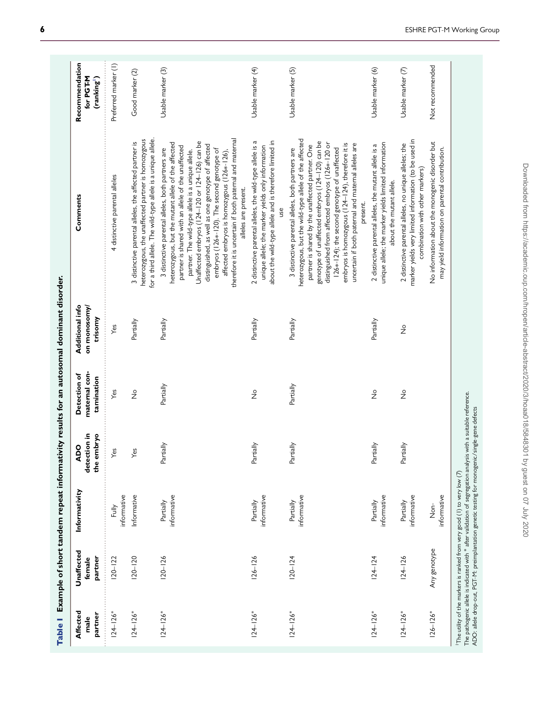<span id="page-5-0"></span>

| Affected<br>partner<br>male | Unaffected<br>partner<br>female | Informativity              | ion in<br>the embryo<br><b>ADO</b><br>detecti | maternal con-<br>Detection of<br>tamination | Additional info<br>on monosomy/<br>trisomy | Comments                                                                                                                                                                                                                                                                                                                                                                                                                                                                                                  | Recommendation<br>for PGT-M<br>(ranking <sup>1</sup> ) |
|-----------------------------|---------------------------------|----------------------------|-----------------------------------------------|---------------------------------------------|--------------------------------------------|-----------------------------------------------------------------------------------------------------------------------------------------------------------------------------------------------------------------------------------------------------------------------------------------------------------------------------------------------------------------------------------------------------------------------------------------------------------------------------------------------------------|--------------------------------------------------------|
| $124 - 126*$                | $120 - 122$                     | informative<br>Fully       | Yes                                           | Yes                                         | Yes                                        | 4 distinctive parental alleles                                                                                                                                                                                                                                                                                                                                                                                                                                                                            | Preferred marker (1)                                   |
| $124 - 126*$                | $120 - 20$                      | Informative                | Yes                                           | $\frac{\circ}{2}$                           | Partially                                  | for a third allele. The wild-type allele is a unique allele.<br>heterozygous, the unaffected partner is homozygous<br>3 distinctive parental alleles, the affected partner is                                                                                                                                                                                                                                                                                                                             | Good marker (2)                                        |
| $124 - 126*$                | $120 - 126$                     | informative<br>Partially   | Partially                                     | Partially                                   | Partially                                  | therefore it is uncertain if both paternal and maternal<br>Unaffected embryos (124-120 or 124-126) can be<br>heterozygous, but the mutant allele of the affected<br>distinguished, as well as one genotype of affected<br>partner is shared with an allele of the unaffected<br>3 distinctive parental alleles, both partners are<br>embryos (126*-120). The second genotype of<br>partner. The wild-type allele is a unique allele.<br>affected embryos is homozygous (126*-126)<br>alleles are present. | Usable marker (3)                                      |
| $124 - 126*$                | $126 - 126$                     | informative<br>Partially   | Partially                                     | $\frac{1}{2}$                               | Partially                                  | about the wild-type allele and is therefore limited in<br>2 distinctive parental alleles, the wild-type allele is a<br>unique allele; the marker yields only information<br>yso                                                                                                                                                                                                                                                                                                                           | Usable marker (4)                                      |
| $124 - 126*$                | $120 - 124$                     | informative<br>Partially   | Partially                                     | Partially                                   | Partially                                  | heterozygous, but the wild-type allele of the affected<br>genotype of unaffected embryos (124-120) can be<br>distinguished from affected embryos (126*-120 or<br>embryos is homozygous (124-124), therefore it is<br>uncertain if both paternal and maternal alleles are<br>partner is shared by the unaffected partner. One<br>126*-124); the second genotype of unaffected<br>3 distinctive parental alleles, both partners are<br>present.                                                             | Usable marker (5)                                      |
| $124 - 126*$                | $124 - 124$                     | informative<br>Partially   | Partially                                     | $\frac{1}{2}$                               | Partially                                  | unique allele; the marker yields limited information<br>2 distinctive parental alleles, the mutant allele is a<br>about the mutant allele.                                                                                                                                                                                                                                                                                                                                                                | Usable marker (6)                                      |
| $124 - 126*$                | $124 - 126$                     | informative<br>Partially   | Partially                                     | $\frac{\circ}{2}$                           | $\frac{1}{2}$                              | marker yields very limited information (to be used in<br>2 distinctive parental alleles, no unique alleles; the<br>combination with other markers)                                                                                                                                                                                                                                                                                                                                                        | Usable marker (7)                                      |
| $126 - 126*$                | Any genotype                    | informative<br>$rac{c}{2}$ |                                               |                                             |                                            | No information about the monogenic disorder but<br>may yield information on parental contribution.                                                                                                                                                                                                                                                                                                                                                                                                        | Not recommended                                        |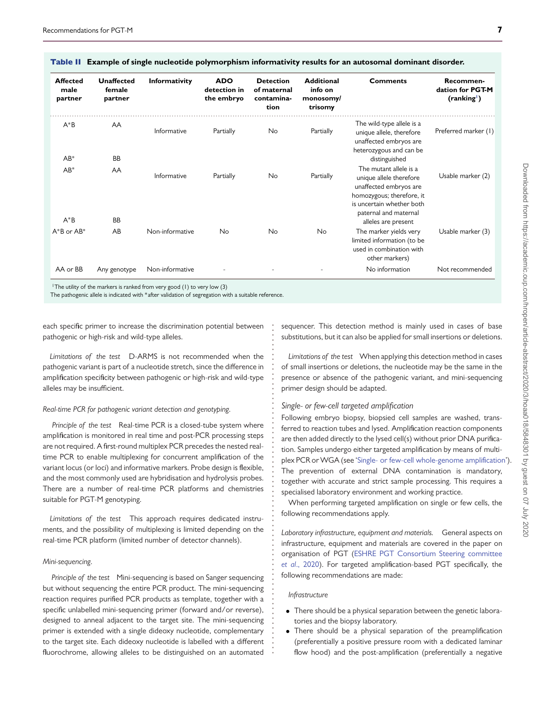| <b>Affected</b><br>male<br>partner | <b>Unaffected</b><br>female<br>partner | Informativity   | <b>ADO</b><br>detection in<br>the embryo | <b>Detection</b><br>of maternal<br>contamina-<br>tion | <b>Additional</b><br>info on<br>monosomy/<br>trisomy | <b>Comments</b>                                                                                                                                                                       | Recommen-<br>dation for PGT-M<br>(ranking') |
|------------------------------------|----------------------------------------|-----------------|------------------------------------------|-------------------------------------------------------|------------------------------------------------------|---------------------------------------------------------------------------------------------------------------------------------------------------------------------------------------|---------------------------------------------|
| $A^*B$<br>$AB^*$                   | AA<br><b>BB</b>                        | Informative     | Partially                                | No                                                    | Partially                                            | The wild-type allele is a<br>unique allele, therefore<br>unaffected embryos are<br>heterozygous and can be<br>distinguished                                                           | Preferred marker (1)                        |
| $AB^*$<br>$A^*B$                   | AA<br><b>BB</b>                        | Informative     | Partially                                | No                                                    | Partially                                            | The mutant allele is a<br>unique allele therefore<br>unaffected embryos are<br>homozygous; therefore, it<br>is uncertain whether both<br>paternal and maternal<br>alleles are present | Usable marker (2)                           |
| $A^*B$ or $AB^*$                   | AB                                     | Non-informative | <b>No</b>                                | <b>No</b>                                             | <b>No</b>                                            | The marker yields very<br>limited information (to be<br>used in combination with<br>other markers)                                                                                    | Usable marker (3)                           |
| AA or BB                           | Any genotype                           | Non-informative |                                          |                                                       |                                                      | No information                                                                                                                                                                        | Not recommended                             |

**. . . . . . . . . . . . . . . . . . . . . . . . . . . . . . . . . . . . . . . . . . . . . . . . . . . . . . . . . . . . . . . . . . . .**

Table II **Example of single nucleotide polymorphism informativity results for an autosomal dominant disorder.**

<span id="page-6-0"></span><sup>1</sup> The utility of the markers is ranked from very good (1) to very low (3)

The pathogenic allele is indicated with \*after validation of segregation with a suitable reference.

each specific primer to increase the discrimination potential between pathogenic or high-risk and wild-type alleles.

*Limitations of the test* D-ARMS is not recommended when the pathogenic variant is part of a nucleotide stretch, since the difference in amplification specificity between pathogenic or high-risk and wild-type alleles may be insufficient.

#### *Real-time PCR for pathogenic variant detection and genotyping.*

*Principle of the test* Real-time PCR is a closed-tube system where amplification is monitored in real time and post-PCR processing steps are not required. A first-round multiplex PCR precedes the nested realtime PCR to enable multiplexing for concurrent amplification of the variant locus (or loci) and informative markers. Probe design is flexible, and the most commonly used are hybridisation and hydrolysis probes. There are a number of real-time PCR platforms and chemistries suitable for PGT-M genotyping.

*Limitations of the test* This approach requires dedicated instruments, and the possibility of multiplexing is limited depending on the real-time PCR platform (limited number of detector channels).

#### *Mini-sequencing.*

*Principle of the test* Mini-sequencing is based on Sanger sequencing but without sequencing the entire PCR product. The mini-sequencing reaction requires purified PCR products as template, together with a specific unlabelled mini-sequencing primer (forward and/or reverse), designed to anneal adjacent to the target site. The mini-sequencing primer is extended with a single dideoxy nucleotide, complementary to the target site. Each dideoxy nucleotide is labelled with a different fluorochrome, allowing alleles to be distinguished on an automated

sequencer. This detection method is mainly used in cases of base substitutions, but it can also be applied for small insertions or deletions.

*Limitations of the test* When applying this detection method in cases of small insertions or deletions, the nucleotide may be the same in the presence or absence of the pathogenic variant, and mini-sequencing primer design should be adapted.

#### <span id="page-6-1"></span>*Single- or few-cell targeted amplification*

Following embryo biopsy, biopsied cell samples are washed, transferred to reaction tubes and lysed. Amplification reaction components are then added directly to the lysed cell(s) without prior DNA purification. Samples undergo either targeted amplification by means of multi-plex PCR or WGA (see ['Single- or few-cell whole-genome amplification'](#page-7-0)). The prevention of external DNA contamination is mandatory, together with accurate and strict sample processing. This requires a specialised laboratory environment and working practice.

When performing targeted amplification on single or few cells, the following recommendations apply.

*Laboratory infrastructure, equipment and materials.* General aspects on infrastructure, equipment and materials are covered in the paper on [organisation of PGT \(ESHRE PGT Consortium Steering committee](#page-16-11) *et al*., 2020). For targeted amplification-based PGT specifically, the following recommendations are made:

#### *Infrastructure*

- There should be a physical separation between the genetic laboratories and the biopsy laboratory.
- There should be a physical separation of the preamplification (preferentially a positive pressure room with a dedicated laminar flow hood) and the post-amplification (preferentially a negative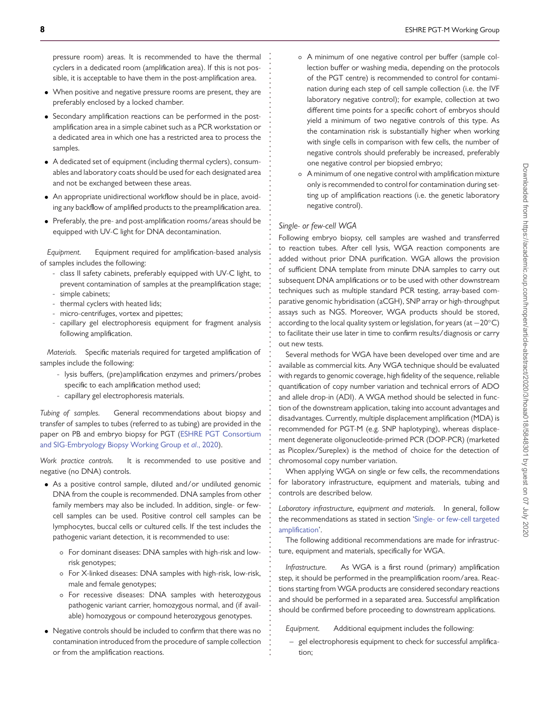pressure room) areas. It is recommended to have the thermal cyclers in a dedicated room (amplification area). If this is not possible, it is acceptable to have them in the post-amplification area.

- When positive and negative pressure rooms are present, they are preferably enclosed by a locked chamber.
- Secondary amplification reactions can be performed in the postamplification area in a simple cabinet such as a PCR workstation or a dedicated area in which one has a restricted area to process the samples.
- A dedicated set of equipment (including thermal cyclers), consumables and laboratory coats should be used for each designated area and not be exchanged between these areas.
- An appropriate unidirectional workflow should be in place, avoiding any backflow of amplified products to the preamplification area.
- Preferably, the pre- and post-amplification rooms/areas should be equipped with UV-C light for DNA decontamination.

*Equipment.* Equipment required for amplification-based analysis of samples includes the following:

- class II safety cabinets, preferably equipped with UV-C light, to prevent contamination of samples at the preamplification stage; - simple cabinets;
- thermal cyclers with heated lids;
- micro-centrifuges, vortex and pipettes;
- capillary gel electrophoresis equipment for fragment analysis following amplification.

*Materials.* Specific materials required for targeted amplification of samples include the following:

- lysis buffers, (pre)amplification enzymes and primers/probes specific to each amplification method used;
- capillary gel electrophoresis materials.

*Tubing of samples.* General recommendations about biopsy and transfer of samples to tubes (referred to as tubing) are provided in the [paper on PB and embryo biopsy for PGT \(ESHRE PGT Consortium](#page-16-9) and SIG-Embryology Biopsy Working Group *et al*., 2020).

*Work practice controls.* It is recommended to use positive and negative (no DNA) controls.

- As a positive control sample, diluted and/or undiluted genomic DNA from the couple is recommended. DNA samples from other family members may also be included. In addition, single- or fewcell samples can be used. Positive control cell samples can be lymphocytes, buccal cells or cultured cells. If the test includes the pathogenic variant detection, it is recommended to use:
	- For dominant diseases: DNA samples with high-risk and lowrisk genotypes;
	- For X-linked diseases: DNA samples with high-risk, low-risk, male and female genotypes;
	- For recessive diseases: DNA samples with heterozygous pathogenic variant carrier, homozygous normal, and (if available) homozygous or compound heterozygous genotypes.
- Negative controls should be included to confirm that there was no contamination introduced from the procedure of sample collection or from the amplification reactions.
- A minimum of one negative control per buffer (sample collection buffer or washing media, depending on the protocols of the PGT centre) is recommended to control for contamination during each step of cell sample collection (i.e. the IVF laboratory negative control); for example, collection at two different time points for a specific cohort of embryos should yield a minimum of two negative controls of this type. As the contamination risk is substantially higher when working with single cells in comparison with few cells, the number of negative controls should preferably be increased, preferably one negative control per biopsied embryo;
- A minimum of one negative control with amplification mixture only is recommended to control for contamination during setting up of amplification reactions (i.e. the genetic laboratory negative control).

#### <span id="page-7-0"></span>*Single- or few-cell WGA*

**. . . . . . . . . . . . . . . . . . . . . . . . . . . . . . . . . . . . . . . . . . . . . . . . . . . . . . . . . . . . . . . . . . . . . . . . . . . . . . . . . . . . . . . . . . . . . . . . . . . . . . . . . . . . . . . . . . . . . . . . . . . .**

Following embryo biopsy, cell samples are washed and transferred to reaction tubes. After cell lysis, WGA reaction components are added without prior DNA purification. WGA allows the provision of sufficient DNA template from minute DNA samples to carry out subsequent DNA amplifications or to be used with other downstream techniques such as multiple standard PCR testing, array-based comparative genomic hybridisation (aCGH), SNP array or high-throughput assays such as NGS. Moreover, WGA products should be stored, according to the local quality system or legislation, for years (at −20<sup>°</sup>C) to facilitate their use later in time to confirm results/diagnosis or carry out new tests.

Several methods for WGA have been developed over time and are available as commercial kits. Any WGA technique should be evaluated with regards to genomic coverage, high fidelity of the sequence, reliable quantification of copy number variation and technical errors of ADO and allele drop-in (ADI). A WGA method should be selected in function of the downstream application, taking into account advantages and disadvantages. Currently, multiple displacement amplification (MDA) is recommended for PGT-M (e.g. SNP haplotyping), whereas displacement degenerate oligonucleotide-primed PCR (DOP-PCR) (marketed as Picoplex/Sureplex) is the method of choice for the detection of chromosomal copy number variation.

When applying WGA on single or few cells, the recommendations for laboratory infrastructure, equipment and materials, tubing and controls are described below.

*Laboratory infrastructure, equipment and materials.* In general, follow the recommendations as stated in section ['Single- or few-cell targeted](#page-6-1) [amplification'](#page-6-1).

The following additional recommendations are made for infrastructure, equipment and materials, specifically for WGA.

*Infrastructure.* As WGA is a first round (primary) amplification step, it should be performed in the preamplification room/area. Reactions starting from WGA products are considered secondary reactions and should be performed in a separated area. Successful amplification should be confirmed before proceeding to downstream applications.

*Equipment.* Additional equipment includes the following:

– gel electrophoresis equipment to check for successful amplification;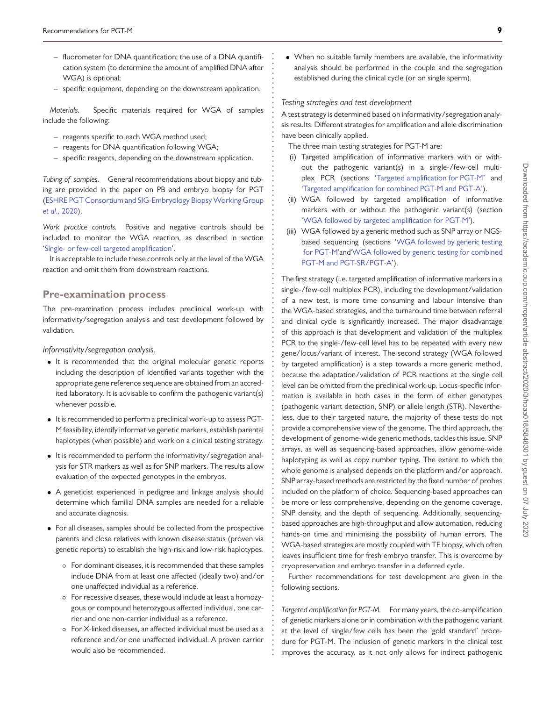- fluorometer for DNA quantification; the use of a DNA quantification system (to determine the amount of amplified DNA after WGA) is optional;
- specific equipment, depending on the downstream application.

*Materials.* Specific materials required for WGA of samples include the following:

- reagents specific to each WGA method used;
- reagents for DNA quantification following WGA;
- specific reagents, depending on the downstream application.

*Tubing of samples.* General recommendations about biopsy and tubing are provided in the paper on PB and embryo biopsy for PGT [\(ESHRE PGT Consortium and SIG-Embryology BiopsyWorking Group](#page-16-9) *et al*., 2020).

*Work practice controls.* Positive and negative controls should be included to monitor the WGA reaction, as described in section ['Single- or few-cell targeted amplification'](#page-6-1).

It is acceptable to include these controls only at the level of the WGA reaction and omit them from downstream reactions.

### **Pre-examination process**

The pre-examination process includes preclinical work-up with informativity/segregation analysis and test development followed by validation.

*Informativity/segregation analysis.*

- It is recommended that the original molecular genetic reports including the description of identified variants together with the appropriate gene reference sequence are obtained from an accredited laboratory. It is advisable to confirm the pathogenic variant(s) whenever possible.
- It is recommended to perform a preclinical work-up to assess PGT-M feasibility, identify informative genetic markers, establish parental haplotypes (when possible) and work on a clinical testing strategy.
- It is recommended to perform the informativity/segregation analysis for STR markers as well as for SNP markers. The results allow evaluation of the expected genotypes in the embryos.
- A geneticist experienced in pedigree and linkage analysis should determine which familial DNA samples are needed for a reliable and accurate diagnosis.
- For all diseases, samples should be collected from the prospective parents and close relatives with known disease status (proven via genetic reports) to establish the high-risk and low-risk haplotypes.
	- For dominant diseases, it is recommended that these samples include DNA from at least one affected (ideally two) and/or one unaffected individual as a reference.
	- For recessive diseases, these would include at least a homozygous or compound heterozygous affected individual, one carrier and one non-carrier individual as a reference.
	- For X-linked diseases, an affected individual must be used as a reference and/or one unaffected individual. A proven carrier would also be recommended.

• When no suitable family members are available, the informativity analysis should be performed in the couple and the segregation established during the clinical cycle (or on single sperm).

#### *Testing strategies and test development*

**. . . . . . . . . . . . . . . . . . . . . . . . . . . . . . . . . . . . . . . . . . . . . . . . . . . . . . . . . . . . . . . . . . . . . . . . . . . . . . . . . . . . . . . . . . . . . . . . . . . . . . . . . . . . . . . . . . . . . . . . . . . .**

A test strategy is determined based on informativity/segregation analysis results. Different strategies for amplification and allele discrimination have been clinically applied.

The three main testing strategies for PGT-M are:

- (i) Targeted amplification of informative markers with or without the pathogenic variant(s) in a single-/few-cell multiplex PCR (sections ['Targeted amplification for PGT-M'](#page-8-0) and ['Targeted amplification for combined PGT-M and PGT-A'](#page-10-0)).
- (ii) WGA followed by targeted amplification of informative markers with or without the pathogenic variant(s) (section ['WGA followed by targeted amplification for PGT-M'](#page-10-1)).
- (iii) WGA followed by a generic method such as SNP array or NGSbased sequencing (sections ['WGA followed by generic testing](#page-10-2) [for PGT-M'](#page-10-2)and['WGA followed by generic testing for combined](#page-11-0) [PGT-M and PGT-SR/PGT-A'](#page-11-0)).

The first strategy (i.e. targeted amplification of informative markers in a single-/few-cell multiplex PCR), including the development/validation of a new test, is more time consuming and labour intensive than the WGA-based strategies, and the turnaround time between referral and clinical cycle is significantly increased. The major disadvantage of this approach is that development and validation of the multiplex PCR to the single-/few-cell level has to be repeated with every new gene/locus/variant of interest. The second strategy (WGA followed by targeted amplification) is a step towards a more generic method, because the adaptation/validation of PCR reactions at the single cell level can be omitted from the preclinical work-up. Locus-specific information is available in both cases in the form of either genotypes (pathogenic variant detection, SNP) or allele length (STR). Nevertheless, due to their targeted nature, the majority of these tests do not provide a comprehensive view of the genome. The third approach, the development of genome-wide generic methods, tackles this issue. SNP arrays, as well as sequencing-based approaches, allow genome-wide haplotyping as well as copy number typing. The extent to which the whole genome is analysed depends on the platform and/or approach. SNP array-based methods are restricted by the fixed number of probes included on the platform of choice. Sequencing-based approaches can be more or less comprehensive, depending on the genome coverage, SNP density, and the depth of sequencing. Additionally, sequencingbased approaches are high-throughput and allow automation, reducing hands-on time and minimising the possibility of human errors. The WGA-based strategies are mostly coupled with TE biopsy, which often leaves insufficient time for fresh embryo transfer. This is overcome by cryopreservation and embryo transfer in a deferred cycle.

Further recommendations for test development are given in the following sections.

<span id="page-8-0"></span>*Targeted amplification for PGT-M.* For many years, the co-amplification of genetic markers alone or in combination with the pathogenic variant at the level of single/few cells has been the 'gold standard' procedure for PGT-M. The inclusion of genetic markers in the clinical test improves the accuracy, as it not only allows for indirect pathogenic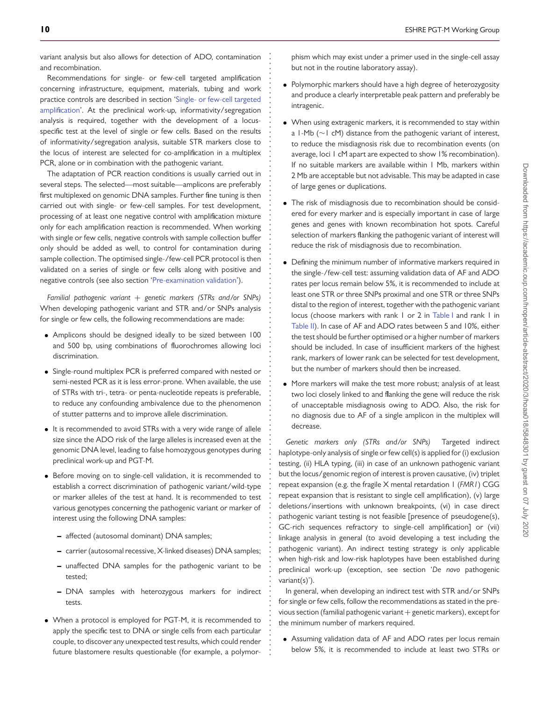variant analysis but also allows for detection of ADO, contamination and recombination.

**. . . . . . . . . . . . . . . . . . . . . . . . . . . . . . . . . . . . . . . . . . . . . . . . . . . . . . . . . . . . . . . . . . . . . . . . . . . . . . . . . . . . . . . . . . . . . . . . . . . . . . . . . . . . . . . . . . . . . . . . . . . .**

Recommendations for single- or few-cell targeted amplification concerning infrastructure, equipment, materials, tubing and work practice controls are described in section ['Single- or few-cell targeted](#page-6-1) [amplification'](#page-6-1). At the preclinical work-up, informativity/segregation analysis is required, together with the development of a locusspecific test at the level of single or few cells. Based on the results of informativity/segregation analysis, suitable STR markers close to the locus of interest are selected for co-amplification in a multiplex PCR, alone or in combination with the pathogenic variant.

The adaptation of PCR reaction conditions is usually carried out in several steps. The selected—most suitable—amplicons are preferably first multiplexed on genomic DNA samples. Further fine tuning is then carried out with single- or few-cell samples. For test development, processing of at least one negative control with amplification mixture only for each amplification reaction is recommended. When working with single or few cells, negative controls with sample collection buffer only should be added as well, to control for contamination during sample collection. The optimised single-/few-cell PCR protocol is then validated on a series of single or few cells along with positive and negative controls (see also section ['Pre-examination validation'](#page-12-0)).

*Familial pathogenic variant* + *genetic markers (STRs and/or SNPs)* When developing pathogenic variant and STR and/or SNPs analysis for single or few cells, the following recommendations are made:

- Amplicons should be designed ideally to be sized between 100 and 500 bp, using combinations of fluorochromes allowing loci discrimination.
- Single-round multiplex PCR is preferred compared with nested or semi-nested PCR as it is less error-prone. When available, the use of STRs with tri-, tetra- or penta-nucleotide repeats is preferable, to reduce any confounding ambivalence due to the phenomenon of stutter patterns and to improve allele discrimination.
- It is recommended to avoid STRs with a very wide range of allele size since the ADO risk of the large alleles is increased even at the genomic DNA level, leading to false homozygous genotypes during preclinical work-up and PGT-M.
- Before moving on to single-cell validation, it is recommended to establish a correct discrimination of pathogenic variant/wild-type or marker alleles of the test at hand. It is recommended to test various genotypes concerning the pathogenic variant or marker of interest using the following DNA samples:
	- **–** affected (autosomal dominant) DNA samples;
	- **–** carrier (autosomal recessive, X-linked diseases) DNA samples;
	- **–** unaffected DNA samples for the pathogenic variant to be tested;
	- **–** DNA samples with heterozygous markers for indirect tests.
- When a protocol is employed for PGT-M, it is recommended to apply the specific test to DNA or single cells from each particular couple, to discover any unexpected test results, which could render future blastomere results questionable (for example, a polymor-

phism which may exist under a primer used in the single-cell assay but not in the routine laboratory assay).

- Polymorphic markers should have a high degree of heterozygosity and produce a clearly interpretable peak pattern and preferably be intragenic.
- When using extragenic markers, it is recommended to stay within a 1-Mb (∼1 cM) distance from the pathogenic variant of interest, to reduce the misdiagnosis risk due to recombination events (on average, loci 1 cM apart are expected to show 1% recombination). If no suitable markers are available within 1 Mb, markers within 2 Mb are acceptable but not advisable. This may be adapted in case of large genes or duplications.
- The risk of misdiagnosis due to recombination should be considered for every marker and is especially important in case of large genes and genes with known recombination hot spots. Careful selection of markers flanking the pathogenic variant of interest will reduce the risk of misdiagnosis due to recombination.
- Defining the minimum number of informative markers required in the single-/few-cell test: assuming validation data of AF and ADO rates per locus remain below 5%, it is recommended to include at least one STR or three SNPs proximal and one STR or three SNPs distal to the region of interest, together with the pathogenic variant locus (choose markers with rank 1 or 2 in [Table I](#page-5-0) and rank 1 in [Table II\)](#page-6-0). In case of AF and ADO rates between 5 and 10%, either the test should be further optimised or a higher number of markers should be included. In case of insufficient markers of the highest rank, markers of lower rank can be selected for test development, but the number of markers should then be increased.
- More markers will make the test more robust; analysis of at least two loci closely linked to and flanking the gene will reduce the risk of unacceptable misdiagnosis owing to ADO. Also, the risk for no diagnosis due to AF of a single amplicon in the multiplex will decrease.

*Genetic markers only (STRs and/or SNPs)* Targeted indirect haplotype-only analysis of single or few cell(s) is applied for (i) exclusion testing, (ii) HLA typing, (iii) in case of an unknown pathogenic variant but the locus/genomic region of interest is proven causative, (iv) triplet repeat expansion (e.g. the fragile X mental retardation 1 (*FMR1*) CGG repeat expansion that is resistant to single cell amplification), (v) large deletions/insertions with unknown breakpoints, (vi) in case direct pathogenic variant testing is not feasible [presence of pseudogene(s), GC-rich sequences refractory to single-cell amplification] or (vii) linkage analysis in general (to avoid developing a test including the pathogenic variant). An indirect testing strategy is only applicable when high-risk and low-risk haplotypes have been established during preclinical work-up (exception, see section '*De novo* pathogenic variant(s)').

In general, when developing an indirect test with STR and/or SNPs for single or few cells, follow the recommendations as stated in the previous section (familial pathogenic variant + genetic markers), except for the minimum number of markers required.

• Assuming validation data of AF and ADO rates per locus remain below 5%, it is recommended to include at least two STRs or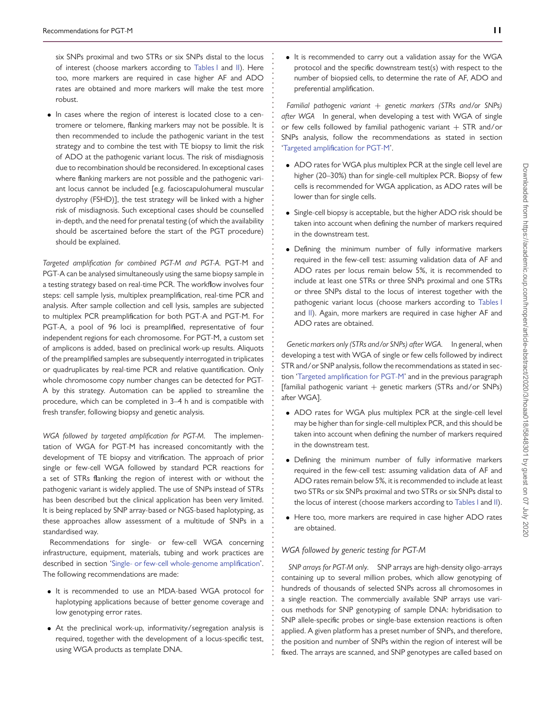six SNPs proximal and two STRs or six SNPs distal to the locus of interest (choose markers according to [Tables I](#page-5-0) and [II\)](#page-6-0). Here too, more markers are required in case higher AF and ADO rates are obtained and more markers will make the test more robust.

**. . . . . . . . . . . . . . . . . . . . . . . . . . . . . . . . . . . . . . . . . . . . . . . . . . . . . . . . . . . . . . . . . . . . . . . . . . . . . . . . . . . . . . . . . . . . . . . . . . . . . . . . . . . . . . . . . . . . . . . . . . . .**

• In cases where the region of interest is located close to a centromere or telomere, flanking markers may not be possible. It is then recommended to include the pathogenic variant in the test strategy and to combine the test with TE biopsy to limit the risk of ADO at the pathogenic variant locus. The risk of misdiagnosis due to recombination should be reconsidered. In exceptional cases where flanking markers are not possible and the pathogenic variant locus cannot be included [e.g. facioscapulohumeral muscular dystrophy (FSHD)], the test strategy will be linked with a higher risk of misdiagnosis. Such exceptional cases should be counselled in-depth, and the need for prenatal testing (of which the availability should be ascertained before the start of the PGT procedure) should be explained.

<span id="page-10-0"></span>*Targeted amplification for combined PGT-M and PGT-A.* PGT-M and PGT-A can be analysed simultaneously using the same biopsy sample in a testing strategy based on real-time PCR. The workflow involves four steps: cell sample lysis, multiplex preamplification, real-time PCR and analysis. After sample collection and cell lysis, samples are subjected to multiplex PCR preamplification for both PGT-A and PGT-M. For PGT-A, a pool of 96 loci is preamplified, representative of four independent regions for each chromosome. For PGT-M, a custom set of amplicons is added, based on preclinical work-up results. Aliquots of the preamplified samples are subsequently interrogated in triplicates or quadruplicates by real-time PCR and relative quantification. Only whole chromosome copy number changes can be detected for PGT-A by this strategy. Automation can be applied to streamline the procedure, which can be completed in 3–4 h and is compatible with fresh transfer, following biopsy and genetic analysis.

<span id="page-10-1"></span>*WGA followed by targeted amplification for PGT-M.* The implementation of WGA for PGT-M has increased concomitantly with the development of TE biopsy and vitrification. The approach of prior single or few-cell WGA followed by standard PCR reactions for a set of STRs flanking the region of interest with or without the pathogenic variant is widely applied. The use of SNPs instead of STRs has been described but the clinical application has been very limited. It is being replaced by SNP array-based or NGS-based haplotyping, as these approaches allow assessment of a multitude of SNPs in a standardised way.

Recommendations for single- or few-cell WGA concerning infrastructure, equipment, materials, tubing and work practices are described in section ['Single- or few-cell whole-genome amplification'](#page-6-1). The following recommendations are made:

- It is recommended to use an MDA-based WGA protocol for haplotyping applications because of better genome coverage and low genotyping error rates.
- At the preclinical work-up, informativity/segregation analysis is required, together with the development of a locus-specific test, using WGA products as template DNA.

• It is recommended to carry out a validation assay for the WGA protocol and the specific downstream test(s) with respect to the number of biopsied cells, to determine the rate of AF, ADO and preferential amplification.

*Familial pathogenic variant* + *genetic markers (STRs and/or SNPs) after WGA* In general, when developing a test with WGA of single or few cells followed by familial pathogenic variant  $+$  STR and/or SNPs analysis, follow the recommendations as stated in section ['Targeted amplification for PGT-M'](#page-8-0).

- ADO rates for WGA plus multiplex PCR at the single cell level are higher (20–30%) than for single-cell multiplex PCR. Biopsy of few cells is recommended for WGA application, as ADO rates will be lower than for single cells.
- Single-cell biopsy is acceptable, but the higher ADO risk should be taken into account when defining the number of markers required in the downstream test.
- Defining the minimum number of fully informative markers required in the few-cell test: assuming validation data of AF and ADO rates per locus remain below 5%, it is recommended to include at least one STRs or three SNPs proximal and one STRs or three SNPs distal to the locus of interest together with the pathogenic variant locus (choose markers according to [Tables I](#page-5-0) and [II\)](#page-6-0). Again, more markers are required in case higher AF and ADO rates are obtained.

*Genetic markers only (STRs and/or SNPs) after WGA.* In general, when developing a test with WGA of single or few cells followed by indirect STR and/or SNP analysis, follow the recommendations as stated in section ['Targeted amplification for PGT-M'](#page-8-0) and in the previous paragraph [familial pathogenic variant  $+$  genetic markers (STRs and/or SNPs) after WGA].

- ADO rates for WGA plus multiplex PCR at the single-cell level may be higher than for single-cell multiplex PCR, and this should be taken into account when defining the number of markers required in the downstream test.
- Defining the minimum number of fully informative markers required in the few-cell test: assuming validation data of AF and ADO rates remain below 5%, it is recommended to include at least two STRs or six SNPs proximal and two STRs or six SNPs distal to the locus of interest (choose markers according to [Tables I](#page-5-0) and [II\)](#page-6-0).
- Here too, more markers are required in case higher ADO rates are obtained.

### <span id="page-10-2"></span>*WGA followed by generic testing for PGT-M*

*SNP arrays for PGT-M only.* SNP arrays are high-density oligo-arrays containing up to several million probes, which allow genotyping of hundreds of thousands of selected SNPs across all chromosomes in a single reaction. The commercially available SNP arrays use various methods for SNP genotyping of sample DNA: hybridisation to SNP allele-specific probes or single-base extension reactions is often applied. A given platform has a preset number of SNPs, and therefore, the position and number of SNPs within the region of interest will be fixed. The arrays are scanned, and SNP genotypes are called based on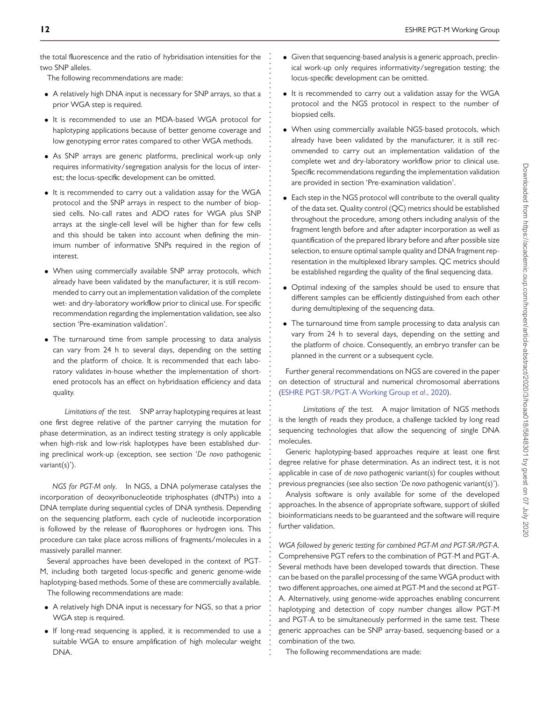the total fluorescence and the ratio of hybridisation intensities for the two SNP alleles.

**. . . . . . . . . . . . . . . . . . . . . . . . . . . . . . . . . . . . . . . . . . . . . . . . . . . . . . . . . . . . . . . . . . . . . . . . . . . . . . . . . . . . . . . . . . . . . . . . . . . . . . . . . . . . . . . . . . . . . . . . . . . .**

The following recommendations are made:

- A relatively high DNA input is necessary for SNP arrays, so that a prior WGA step is required.
- It is recommended to use an MDA-based WGA protocol for haplotyping applications because of better genome coverage and low genotyping error rates compared to other WGA methods.
- As SNP arrays are generic platforms, preclinical work-up only requires informativity/segregation analysis for the locus of interest; the locus-specific development can be omitted.
- It is recommended to carry out a validation assay for the WGA protocol and the SNP arrays in respect to the number of biopsied cells. No-call rates and ADO rates for WGA plus SNP arrays at the single-cell level will be higher than for few cells and this should be taken into account when defining the minimum number of informative SNPs required in the region of interest.
- When using commercially available SNP array protocols, which already have been validated by the manufacturer, it is still recommended to carry out an implementation validation of the complete wet- and dry-laboratory workflow prior to clinical use. For specific recommendation regarding the implementation validation, see also section 'Pre-examination validation'.
- The turnaround time from sample processing to data analysis can vary from 24 h to several days, depending on the setting and the platform of choice. It is recommended that each laboratory validates in-house whether the implementation of shortened protocols has an effect on hybridisation efficiency and data quality.

*Limitations of the test.* SNP array haplotyping requires at least one first degree relative of the partner carrying the mutation for phase determination, as an indirect testing strategy is only applicable when high-risk and low-risk haplotypes have been established during preclinical work-up (exception, see section '*De novo* pathogenic variant(s)').

*NGS for PGT-M only.* In NGS, a DNA polymerase catalyses the incorporation of deoxyribonucleotide triphosphates (dNTPs) into a DNA template during sequential cycles of DNA synthesis. Depending on the sequencing platform, each cycle of nucleotide incorporation is followed by the release of fluorophores or hydrogen ions. This procedure can take place across millions of fragments/molecules in a massively parallel manner.

Several approaches have been developed in the context of PGT-M, including both targeted locus-specific and generic genome-wide haplotyping-based methods. Some of these are commercially available.

The following recommendations are made:

- A relatively high DNA input is necessary for NGS, so that a prior WGA step is required.
- If long-read sequencing is applied, it is recommended to use a suitable WGA to ensure amplification of high molecular weight DNA.
- Given that sequencing-based analysis is a generic approach, preclinical work-up only requires informativity/segregation testing; the locus-specific development can be omitted.
- It is recommended to carry out a validation assay for the WGA protocol and the NGS protocol in respect to the number of biopsied cells.
- When using commercially available NGS-based protocols, which already have been validated by the manufacturer, it is still recommended to carry out an implementation validation of the complete wet and dry-laboratory workflow prior to clinical use. Specific recommendations regarding the implementation validation are provided in section 'Pre-examination validation'.
- Each step in the NGS protocol will contribute to the overall quality of the data set. Quality control (QC) metrics should be established throughout the procedure, among others including analysis of the fragment length before and after adapter incorporation as well as quantification of the prepared library before and after possible size selection, to ensure optimal sample quality and DNA fragment representation in the multiplexed library samples. QC metrics should be established regarding the quality of the final sequencing data.
- Optimal indexing of the samples should be used to ensure that different samples can be efficiently distinguished from each other during demultiplexing of the sequencing data.
- The turnaround time from sample processing to data analysis can vary from 24 h to several days, depending on the setting and the platform of choice. Consequently, an embryo transfer can be planned in the current or a subsequent cycle.

Further general recommendations on NGS are covered in the paper on detection of structural and numerical chromosomal aberrations [\(ESHRE PGT-SR/PGT-A Working Group](#page-16-11) *et al*., 2020).

*Limitations of the test.* A major limitation of NGS methods is the length of reads they produce, a challenge tackled by long read sequencing technologies that allow the sequencing of single DNA molecules.

Generic haplotyping-based approaches require at least one first degree relative for phase determination. As an indirect test, it is not applicable in case of *de novo* pathogenic variant(s) for couples without previous pregnancies (see also section '*De novo* pathogenic variant(s)').

Analysis software is only available for some of the developed approaches. In the absence of appropriate software, support of skilled bioinformaticians needs to be guaranteed and the software will require further validation.

<span id="page-11-0"></span>*WGA followed by generic testing for combined PGT-M and PGT-SR/PGT-A.* Comprehensive PGT refers to the combination of PGT-M and PGT-A. Several methods have been developed towards that direction. These can be based on the parallel processing of the same WGA product with two different approaches, one aimed at PGT-M and the second at PGT-A. Alternatively, using genome-wide approaches enabling concurrent haplotyping and detection of copy number changes allow PGT-M and PGT-A to be simultaneously performed in the same test. These generic approaches can be SNP array-based, sequencing-based or a combination of the two.

The following recommendations are made: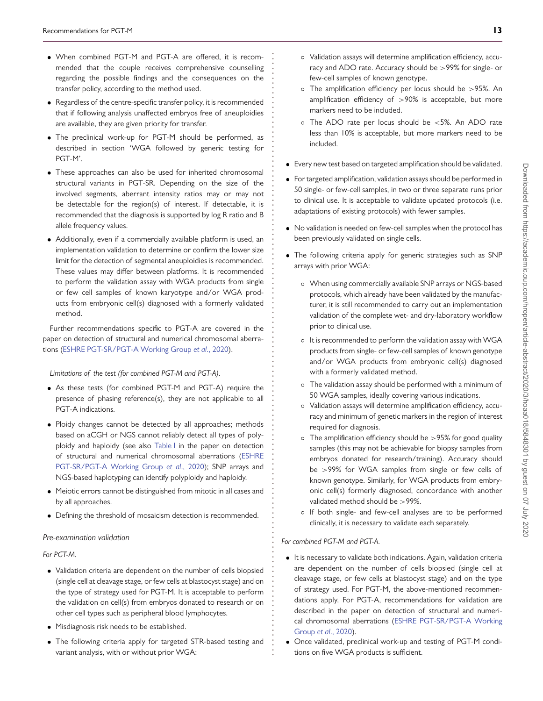• When combined PGT-M and PGT-A are offered, it is recommended that the couple receives comprehensive counselling regarding the possible findings and the consequences on the transfer policy, according to the method used.

**. . . . . . . . . . . . . . . . . . . . . . . . . . . . . . . . . . . . . . . . . . . . . . . . . . . . . . . . . . . . . . . . . . . . . . . . . . . . . . . . . . . . . . . . . . . . . . . . . . . . . . . . . . . . . . . . . . . . . . . . . . . .**

- Regardless of the centre-specific transfer policy, it is recommended that if following analysis unaffected embryos free of aneuploidies are available, they are given priority for transfer.
- The preclinical work-up for PGT-M should be performed, as described in section 'WGA followed by generic testing for PGT-M'.
- These approaches can also be used for inherited chromosomal structural variants in PGT-SR. Depending on the size of the involved segments, aberrant intensity ratios may or may not be detectable for the region(s) of interest. If detectable, it is recommended that the diagnosis is supported by log R ratio and B allele frequency values.
- Additionally, even if a commercially available platform is used, an implementation validation to determine or confirm the lower size limit for the detection of segmental aneuploidies is recommended. These values may differ between platforms. It is recommended to perform the validation assay with WGA products from single or few cell samples of known karyotype and/or WGA products from embryonic cell(s) diagnosed with a formerly validated method.

Further recommendations specific to PGT-A are covered in the paper on detection of structural and numerical chromosomal aberrations [\(ESHRE PGT-SR/PGT-A Working Group](#page-16-11) *et al*., 2020).

#### *Limitations of the test (for combined PGT-M and PGT-A).*

- As these tests (for combined PGT-M and PGT-A) require the presence of phasing reference(s), they are not applicable to all PGT-A indications.
- Ploidy changes cannot be detected by all approaches; methods based on aCGH or NGS cannot reliably detect all types of polyploidy and haploidy (see also [Table I](#page-5-0) in the paper on detection [of structural and numerical chromosomal aberrations \(ESHRE](#page-16-11) PGT-SR/PGT-A Working Group *et al*., 2020); SNP arrays and NGS-based haplotyping can identify polyploidy and haploidy.
- Meiotic errors cannot be distinguished from mitotic in all cases and by all approaches.
- <span id="page-12-0"></span>• Defining the threshold of mosaicism detection is recommended.

#### *Pre-examination validation*

#### *For PGT-M.*

- Validation criteria are dependent on the number of cells biopsied (single cell at cleavage stage, or few cells at blastocyst stage) and on the type of strategy used for PGT-M. It is acceptable to perform the validation on cell(s) from embryos donated to research or on other cell types such as peripheral blood lymphocytes.
- Misdiagnosis risk needs to be established.
- The following criteria apply for targeted STR-based testing and variant analysis, with or without prior WGA:
- Validation assays will determine amplification efficiency, accuracy and ADO rate. Accuracy should be *>*99% for single- or few-cell samples of known genotype.
- The amplification efficiency per locus should be *>*95%. An amplification efficiency of *>*90% is acceptable, but more markers need to be included.
- The ADO rate per locus should be *<*5%. An ADO rate less than 10% is acceptable, but more markers need to be included.
- Every new test based on targeted amplification should be validated.
- For targeted amplification, validation assays should be performed in 50 single- or few-cell samples, in two or three separate runs prior to clinical use. It is acceptable to validate updated protocols (i.e. adaptations of existing protocols) with fewer samples.
- No validation is needed on few-cell samples when the protocol has been previously validated on single cells.
- The following criteria apply for generic strategies such as SNP arrays with prior WGA:
	- When using commercially available SNP arrays or NGS-based protocols, which already have been validated by the manufacturer, it is still recommended to carry out an implementation validation of the complete wet- and dry-laboratory workflow prior to clinical use.
	- It is recommended to perform the validation assay with WGA products from single- or few-cell samples of known genotype and/or WGA products from embryonic cell(s) diagnosed with a formerly validated method.
	- The validation assay should be performed with a minimum of 50 WGA samples, ideally covering various indications.
	- Validation assays will determine amplification efficiency, accuracy and minimum of genetic markers in the region of interest required for diagnosis.
	- The amplification efficiency should be *>*95% for good quality samples (this may not be achievable for biopsy samples from embryos donated for research/training). Accuracy should be *>*99% for WGA samples from single or few cells of known genotype. Similarly, for WGA products from embryonic cell(s) formerly diagnosed, concordance with another validated method should be *>*99%.
	- If both single- and few-cell analyses are to be performed clinically, it is necessary to validate each separately.

#### *For combined PGT-M and PGT-A.*

- It is necessary to validate both indications. Again, validation criteria are dependent on the number of cells biopsied (single cell at cleavage stage, or few cells at blastocyst stage) and on the type of strategy used. For PGT-M, the above-mentioned recommendations apply. For PGT-A, recommendations for validation are described in the paper on detection of structural and numeri[cal chromosomal aberrations \(ESHRE PGT-SR/PGT-A Working](#page-16-11) Group *et al*., 2020).
- Once validated, preclinical work-up and testing of PGT-M conditions on five WGA products is sufficient.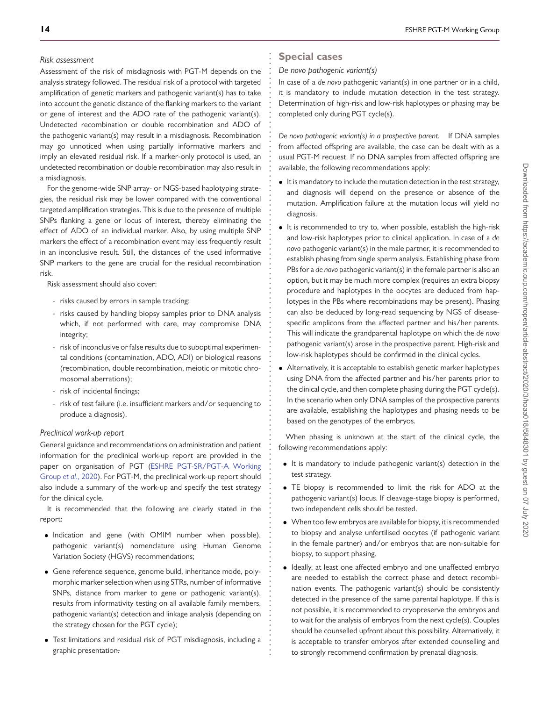### *Risk assessment*

Assessment of the risk of misdiagnosis with PGT-M depends on the analysis strategy followed. The residual risk of a protocol with targeted amplification of genetic markers and pathogenic variant(s) has to take into account the genetic distance of the flanking markers to the variant or gene of interest and the ADO rate of the pathogenic variant(s). Undetected recombination or double recombination and ADO of the pathogenic variant(s) may result in a misdiagnosis. Recombination may go unnoticed when using partially informative markers and imply an elevated residual risk. If a marker-only protocol is used, an undetected recombination or double recombination may also result in a misdiagnosis.

For the genome-wide SNP array- or NGS-based haplotyping strategies, the residual risk may be lower compared with the conventional targeted amplification strategies. This is due to the presence of multiple SNPs flanking a gene or locus of interest, thereby eliminating the effect of ADO of an individual marker. Also, by using multiple SNP markers the effect of a recombination event may less frequently result in an inconclusive result. Still, the distances of the used informative SNP markers to the gene are crucial for the residual recombination risk.

Risk assessment should also cover:

- risks caused by errors in sample tracking;
- risks caused by handling biopsy samples prior to DNA analysis which, if not performed with care, may compromise DNA integrity;
- risk of inconclusive or false results due to suboptimal experimental conditions (contamination, ADO, ADI) or biological reasons (recombination, double recombination, meiotic or mitotic chromosomal aberrations);
- risk of incidental findings;
- risk of test failure (i.e. insufficient markers and/or sequencing to produce a diagnosis).

### *Preclinical work-up report*

General guidance and recommendations on administration and patient information for the preclinical work-up report are provided in the [paper on organisation of PGT \(ESHRE PGT-SR/PGT-A Working](#page-16-11) Group *et al*., 2020). For PGT-M, the preclinical work-up report should also include a summary of the work-up and specify the test strategy for the clinical cycle.

It is recommended that the following are clearly stated in the report:

- Indication and gene (with OMIM number when possible), pathogenic variant(s) nomenclature using Human Genome Variation Society (HGVS) recommendations;
- Gene reference sequence, genome build, inheritance mode, polymorphic marker selection when using STRs, number of informative SNPs, distance from marker to gene or pathogenic variant(s), results from informativity testing on all available family members, pathogenic variant(s) detection and linkage analysis (depending on the strategy chosen for the PGT cycle);
- Test limitations and residual risk of PGT misdiagnosis, including a graphic presentation.

# **Special cases**

**. . . . . . . . . . . . . . . . . . . . . . . . . . . . . . . . . . . . . . . . . . . . . . . . . . . . . . . . . . . . . . . . . . . . . . . . . . . . . . . . . . . . . . . . . . . . . . . . . . . . . . . . . . . . . . . . . . . . . . . . . . . .**

### <span id="page-13-0"></span>*De novo pathogenic variant(s)*

In case of a *de novo* pathogenic variant(s) in one partner or in a child, it is mandatory to include mutation detection in the test strategy. Determination of high-risk and low-risk haplotypes or phasing may be completed only during PGT cycle(s).

*De novo pathogenic variant(s) in a prospective parent.* If DNA samples from affected offspring are available, the case can be dealt with as a usual PGT-M request. If no DNA samples from affected offspring are available, the following recommendations apply:

- It is mandatory to include the mutation detection in the test strategy, and diagnosis will depend on the presence or absence of the mutation. Amplification failure at the mutation locus will yield no diagnosis.
- It is recommended to try to, when possible, establish the high-risk and low-risk haplotypes prior to clinical application. In case of a *de novo* pathogenic variant(s) in the male partner, it is recommended to establish phasing from single sperm analysis. Establishing phase from PBs for a *de novo* pathogenic variant(s) in the female partner is also an option, but it may be much more complex (requires an extra biopsy procedure and haplotypes in the oocytes are deduced from haplotypes in the PBs where recombinations may be present). Phasing can also be deduced by long-read sequencing by NGS of diseasespecific amplicons from the affected partner and his/her parents. This will indicate the grandparental haplotype on which the *de novo* pathogenic variant(s) arose in the prospective parent. High-risk and low-risk haplotypes should be confirmed in the clinical cycles.
- Alternatively, it is acceptable to establish genetic marker haplotypes using DNA from the affected partner and his/her parents prior to the clinical cycle, and then complete phasing during the PGT cycle(s). In the scenario when only DNA samples of the prospective parents are available, establishing the haplotypes and phasing needs to be based on the genotypes of the embryos.

When phasing is unknown at the start of the clinical cycle, the following recommendations apply:

- It is mandatory to include pathogenic variant(s) detection in the test strategy.
- TE biopsy is recommended to limit the risk for ADO at the pathogenic variant(s) locus. If cleavage-stage biopsy is performed, two independent cells should be tested.
- When too few embryos are available for biopsy, it is recommended to biopsy and analyse unfertilised oocytes (if pathogenic variant in the female partner) and/or embryos that are non-suitable for biopsy, to support phasing.
- Ideally, at least one affected embryo and one unaffected embryo are needed to establish the correct phase and detect recombination events. The pathogenic variant(s) should be consistently detected in the presence of the same parental haplotype. If this is not possible, it is recommended to cryopreserve the embryos and to wait for the analysis of embryos from the next cycle(s). Couples should be counselled upfront about this possibility. Alternatively, it is acceptable to transfer embryos after extended counselling and to strongly recommend confirmation by prenatal diagnosis.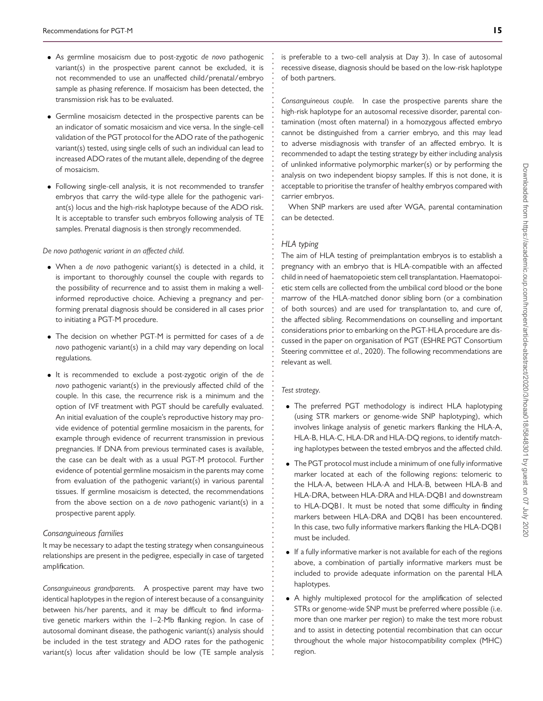- As germline mosaicism due to post-zygotic *de novo* pathogenic variant(s) in the prospective parent cannot be excluded, it is not recommended to use an unaffected child/prenatal/embryo sample as phasing reference. If mosaicism has been detected, the transmission risk has to be evaluated.
- Germline mosaicism detected in the prospective parents can be an indicator of somatic mosaicism and vice versa. In the single-cell validation of the PGT protocol for the ADO rate of the pathogenic variant(s) tested, using single cells of such an individual can lead to increased ADO rates of the mutant allele, depending of the degree of mosaicism.
- Following single-cell analysis, it is not recommended to transfer embryos that carry the wild-type allele for the pathogenic variant(s) locus and the high-risk haplotype because of the ADO risk. It is acceptable to transfer such embryos following analysis of TE samples. Prenatal diagnosis is then strongly recommended.

#### *De novo pathogenic variant in an affected child.*

- When a *de novo* pathogenic variant(s) is detected in a child, it is important to thoroughly counsel the couple with regards to the possibility of recurrence and to assist them in making a wellinformed reproductive choice. Achieving a pregnancy and performing prenatal diagnosis should be considered in all cases prior to initiating a PGT-M procedure.
- The decision on whether PGT-M is permitted for cases of a *de novo* pathogenic variant(s) in a child may vary depending on local regulations.
- It is recommended to exclude a post-zygotic origin of the *de novo* pathogenic variant(s) in the previously affected child of the couple. In this case, the recurrence risk is a minimum and the option of IVF treatment with PGT should be carefully evaluated. An initial evaluation of the couple's reproductive history may provide evidence of potential germline mosaicism in the parents, for example through evidence of recurrent transmission in previous pregnancies. If DNA from previous terminated cases is available, the case can be dealt with as a usual PGT-M protocol. Further evidence of potential germline mosaicism in the parents may come from evaluation of the pathogenic variant(s) in various parental tissues. If germline mosaicism is detected, the recommendations from the above section on a *de novo* pathogenic variant(s) in a prospective parent apply.

#### *Consanguineous families*

It may be necessary to adapt the testing strategy when consanguineous relationships are present in the pedigree, especially in case of targeted amplification.

*Consanguineous grandparents.* A prospective parent may have two identical haplotypes in the region of interest because of a consanguinity between his/her parents, and it may be difficult to find informative genetic markers within the 1–2-Mb flanking region. In case of autosomal dominant disease, the pathogenic variant(s) analysis should be included in the test strategy and ADO rates for the pathogenic variant(s) locus after validation should be low (TE sample analysis is preferable to a two-cell analysis at Day 3). In case of autosomal recessive disease, diagnosis should be based on the low-risk haplotype of both partners.

*Consanguineous couple.* In case the prospective parents share the high-risk haplotype for an autosomal recessive disorder, parental contamination (most often maternal) in a homozygous affected embryo cannot be distinguished from a carrier embryo, and this may lead to adverse misdiagnosis with transfer of an affected embryo. It is recommended to adapt the testing strategy by either including analysis of unlinked informative polymorphic marker(s) or by performing the analysis on two independent biopsy samples. If this is not done, it is acceptable to prioritise the transfer of healthy embryos compared with carrier embryos.

When SNP markers are used after WGA, parental contamination can be detected.

#### *HLA typing*

**. . . . . . . . . . . . . . . . . . . . . . . . . . . . . . . . . . . . . . . . . . . . . . . . . . . . . . . . . . . . . . . . . . . . . . . . . . . . . . . . . . . . . . . . . . . . . . . . . . . . . . . . . . . . . . . . . . . . . . . . . . . .**

The aim of HLA testing of preimplantation embryos is to establish a pregnancy with an embryo that is HLA-compatible with an affected child in need of haematopoietic stem cell transplantation. Haematopoietic stem cells are collected from the umbilical cord blood or the bone marrow of the HLA-matched donor sibling born (or a combination of both sources) and are used for transplantation to, and cure of, the affected sibling. Recommendations on counselling and important considerations prior to embarking on the PGT-HLA procedure are discussed in the paper on organisation of PGT (ESHRE PGT Consortium Steering committee *et al*., 2020). The following recommendations are relevant as well.

#### *Test strategy.*

- The preferred PGT methodology is indirect HLA haplotyping (using STR markers or genome-wide SNP haplotyping), which involves linkage analysis of genetic markers flanking the HLA-A, HLA-B, HLA-C, HLA-DR and HLA-DQ regions, to identify matching haplotypes between the tested embryos and the affected child.
- The PGT protocol must include a minimum of one fully informative marker located at each of the following regions: telomeric to the HLA-A, between HLA-A and HLA-B, between HLA-B and HLA-DRA, between HLA-DRA and HLA-DQB1 and downstream to HLA-DQB1. It must be noted that some difficulty in finding markers between HLA-DRA and DQB1 has been encountered. In this case, two fully informative markers flanking the HLA-DQB1 must be included.
- If a fully informative marker is not available for each of the regions above, a combination of partially informative markers must be included to provide adequate information on the parental HLA haplotypes.
- A highly multiplexed protocol for the amplification of selected STRs or genome-wide SNP must be preferred where possible (i.e. more than one marker per region) to make the test more robust and to assist in detecting potential recombination that can occur throughout the whole major histocompatibility complex (MHC) region.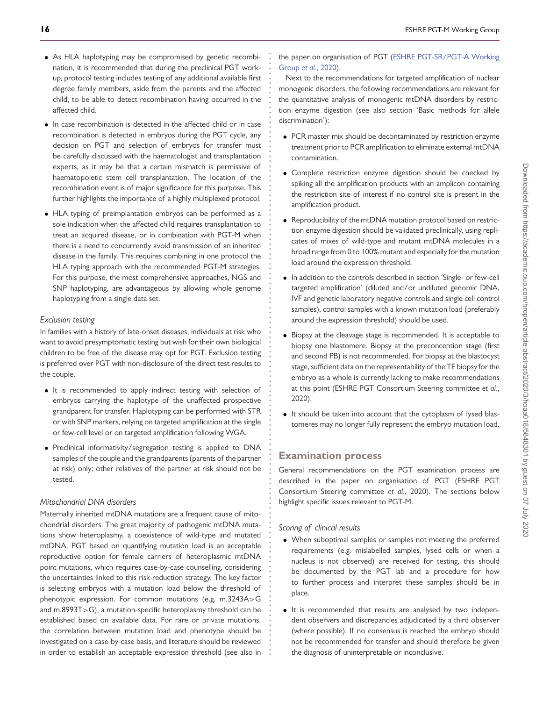- As HLA haplotyping may be compromised by genetic recombination, it is recommended that during the preclinical PGT workup, protocol testing includes testing of any additional available first degree family members, aside from the parents and the affected child, to be able to detect recombination having occurred in the affected child.
- In case recombination is detected in the affected child or in case recombination is detected in embryos during the PGT cycle, any decision on PGT and selection of embryos for transfer must be carefully discussed with the haematologist and transplantation experts, as it may be that a certain mismatch is permissive of haematopoietic stem cell transplantation. The location of the recombination event is of major significance for this purpose. This further highlights the importance of a highly multiplexed protocol.
- HLA typing of preimplantation embryos can be performed as a sole indication when the affected child requires transplantation to treat an acquired disease, or in combination with PGT-M when there is a need to concurrently avoid transmission of an inherited disease in the family. This requires combining in one protocol the HLA typing approach with the recommended PGT-M strategies. For this purpose, the most comprehensive approaches, NGS and SNP haplotyping, are advantageous by allowing whole genome haplotyping from a single data set.

### *Exclusion testing*

In families with a history of late-onset diseases, individuals at risk who want to avoid presymptomatic testing but wish for their own biological children to be free of the disease may opt for PGT. Exclusion testing is preferred over PGT with non-disclosure of the direct test results to the couple.

- It is recommended to apply indirect testing with selection of embryos carrying the haplotype of the unaffected prospective grandparent for transfer. Haplotyping can be performed with STR or with SNP markers, relying on targeted amplification at the single or few-cell level or on targeted amplification following WGA.
- Preclinical informativity/segregation testing is applied to DNA samples of the couple and the grandparents (parents of the partner at risk) only; other relatives of the partner at risk should not be tested.

#### *Mitochondrial DNA disorders*

Maternally inherited mtDNA mutations are a frequent cause of mitochondrial disorders. The great majority of pathogenic mtDNA mutations show heteroplasmy, a coexistence of wild-type and mutated mtDNA. PGT based on quantifying mutation load is an acceptable reproductive option for female carriers of heteroplasmic mtDNA point mutations, which requires case-by-case counselling, considering the uncertainties linked to this risk-reduction strategy. The key factor is selecting embryos with a mutation load below the threshold of phenotypic expression. For common mutations (e.g. m.3243A*>*G and m.8993T*>*G), a mutation-specific heteroplasmy threshold can be established based on available data. For rare or private mutations, the correlation between mutation load and phenotype should be investigated on a case-by-case basis, and literature should be reviewed in order to establish an acceptable expression threshold (see also in [the paper on organisation of PGT \(ESHRE PGT-SR/PGT-A Working](#page-16-11) Group *et al*., 2020).

**. . . . . . . . . . . . . . . . . . . . . . . . . . . . . . . . . . . . . . . . . . . . . . . . . . . . . . . . . . . . . . . . . . . . . . . . . . . . . . . . . . . . . . . . . . . . . . . . . . . . . . . . . . . . . . . . . . . . . . . . . . . .**

Next to the recommendations for targeted amplification of nuclear monogenic disorders, the following recommendations are relevant for the quantitative analysis of monogenic mtDNA disorders by restriction enzyme digestion (see also section 'Basic methods for allele discrimination'):

- PCR master mix should be decontaminated by restriction enzyme treatment prior to PCR amplification to eliminate external mtDNA contamination.
- Complete restriction enzyme digestion should be checked by spiking all the amplification products with an amplicon containing the restriction site of interest if no control site is present in the amplification product.
- Reproducibility of the mtDNA mutation protocol based on restriction enzyme digestion should be validated preclinically, using replicates of mixes of wild-type and mutant mtDNA molecules in a broad range from 0 to 100% mutant and especially for the mutation load around the expression threshold.
- In addition to the controls described in section 'Single- or few-cell targeted amplification' (diluted and/or undiluted genomic DNA, IVF and genetic laboratory negative controls and single cell control samples), control samples with a known mutation load (preferably around the expression threshold) should be used.
- Biopsy at the cleavage stage is recommended. It is acceptable to biopsy one blastomere. Biopsy at the preconception stage (first and second PB) is not recommended. For biopsy at the blastocyst stage, sufficient data on the representability of the TE biopsy for the embryo as a whole is currently lacking to make recommendations at this point (ESHRE PGT Consortium Steering committee *et al*., 2020).
- It should be taken into account that the cytoplasm of lysed blastomeres may no longer fully represent the embryo mutation load.

### **Examination process**

General recommendations on the PGT examination process are described in the paper on organisation of PGT (ESHRE PGT Consortium Steering committee *et al*., 2020). The sections below highlight specific issues relevant to PGT-M.

### *Scoring of clinical results*

- When suboptimal samples or samples not meeting the preferred requirements (e.g. mislabelled samples, lysed cells or when a nucleus is not observed) are received for testing, this should be documented by the PGT lab and a procedure for how to further process and interpret these samples should be in place.
- It is recommended that results are analysed by two independent observers and discrepancies adjudicated by a third observer (where possible). If no consensus is reached the embryo should not be recommended for transfer and should therefore be given the diagnosis of uninterpretable or inconclusive.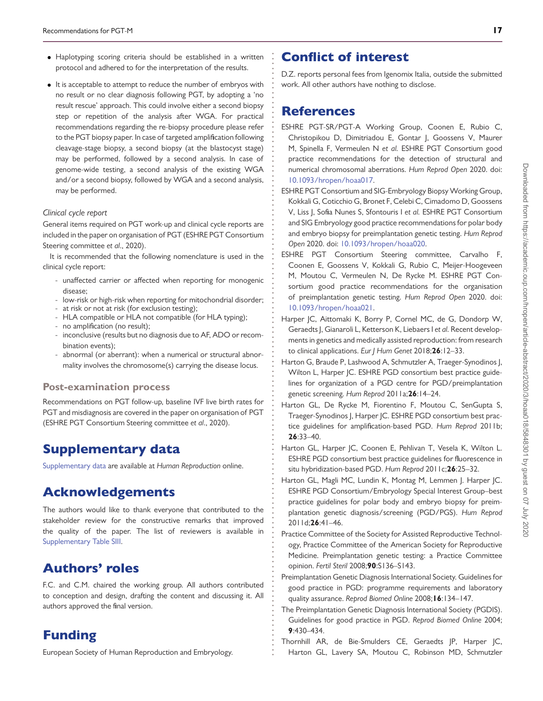- Haplotyping scoring criteria should be established in a written protocol and adhered to for the interpretation of the results.
- It is acceptable to attempt to reduce the number of embryos with no result or no clear diagnosis following PGT, by adopting a 'no result rescue' approach. This could involve either a second biopsy step or repetition of the analysis after WGA. For practical recommendations regarding the re-biopsy procedure please refer to the PGT biopsy paper. In case of targeted amplification following cleavage-stage biopsy, a second biopsy (at the blastocyst stage) may be performed, followed by a second analysis. In case of genome-wide testing, a second analysis of the existing WGA and/or a second biopsy, followed by WGA and a second analysis, may be performed.

### *Clinical cycle report*

General items required on PGT work-up and clinical cycle reports are included in the paper on organisation of PGT (ESHRE PGT Consortium Steering committee *et al*., 2020).

It is recommended that the following nomenclature is used in the clinical cycle report:

- unaffected carrier or affected when reporting for monogenic disease;
- low-risk or high-risk when reporting for mitochondrial disorder;
- at risk or not at risk (for exclusion testing);
- HLA compatible or HLA not compatible (for HLA typing);
- no amplification (no result);
- inconclusive (results but no diagnosis due to AF, ADO or recombination events);
- abnormal (or aberrant): when a numerical or structural abnormality involves the chromosome(s) carrying the disease locus.

### **Post-examination process**

Recommendations on PGT follow-up, baseline IVF live birth rates for PGT and misdiagnosis are covered in the paper on organisation of PGT (ESHRE PGT Consortium Steering committee *et al*., 2020).

# Supplementary data

[Supplementary data](https://academic.oup.com/hropen/article-lookup/doi/10.1093/hropen/hoaa018#supplementary-data) are available at *Human Reproduction* online.

# Acknowledgements

The authors would like to thank everyone that contributed to the stakeholder review for the constructive remarks that improved the quality of the paper. The list of reviewers is available in [Supplementary Table SIII.](https://academic.oup.com/hropen/article-lookup/doi/10.1093/hropen/hoaa018#supplementary-data)

# Authors' roles

F.C. and C.M. chaired the working group. All authors contributed to conception and design, drafting the content and discussing it. All authors approved the final version.

# Funding

European Society of Human Reproduction and Embryology.

# Conflict of interest

D.Z. reports personal fees from Igenomix Italia, outside the submitted work. All other authors have nothing to disclose.

# References

**. . . . . . . . . . . . . . . . . . . . . . . . . . . . . . . . . . . . . . . . . . . . . . . . . . . . . . . . . . . . . . . . . . . . . . . . . . . . . . . . . . . . . . . . . . . . . . . . . . . . . . . . . . . . . . . . . . . . . . . . . . . .**

- <span id="page-16-11"></span>ESHRE PGT-SR/PGT-A Working Group, Coonen E, Rubio C, Christopikou D, Dimitriadou E, Gontar J, Goossens V, Maurer M, Spinella F, Vermeulen N *et al.* ESHRE PGT Consortium good practice recommendations for the detection of structural and numerical chromosomal aberrations. *Hum Reprod Open* 2020. doi: [10.1093/hropen/hoaa017.](https://doi.org/10.1093/hropen/hoaa017)
- <span id="page-16-9"></span>ESHRE PGT Consortium and SIG-Embryology Biopsy Working Group, Kokkali G, Coticchio G, Bronet F, Celebi C, Cimadomo D, Goossens V, Liss J, Sofia Nunes S, Sfontouris I *et al.* ESHRE PGT Consortium and SIG Embryology good practice recommendations for polar body and embryo biopsy for preimplantation genetic testing. *Hum Reprod Open* 2020. doi: [10.1093/hropen/hoaa020.](https://doi.org/10.1093/hropen/hoaa020)
- <span id="page-16-10"></span>ESHRE PGT Consortium Steering committee, Carvalho F, Coonen E, Goossens V, Kokkali G, Rubio C, Meijer-Hoogeveen M, Moutou C, Vermeulen N, De Rycke M. ESHRE PGT Consortium good practice recommendations for the organisation of preimplantation genetic testing. *Hum Reprod Open* 2020. doi: [10.1093/hropen/hoaa021.](https://doi.org/10.1093/hropen/hoaa021)
- <span id="page-16-0"></span>Harper JC, Aittomaki K, Borry P, Cornel MC, de G, Dondorp W, Geraedts J, Gianaroli L, Ketterson K, Liebaers I *et al.* Recent developments in genetics and medically assisted reproduction: from research to clinical applications. *Eur J Hum Genet* 2018;**26**:12–33.
- <span id="page-16-5"></span>Harton G, Braude P, Lashwood A, Schmutzler A, Traeger-Synodinos J, Wilton L, Harper JC. ESHRE PGD consortium best practice guidelines for organization of a PGD centre for PGD/preimplantation genetic screening. *Hum Reprod* 2011a;**26**:14–24.
- <span id="page-16-6"></span>Harton GL, De Rycke M, Fiorentino F, Moutou C, SenGupta S, Traeger-Synodinos J, Harper JC. ESHRE PGD consortium best practice guidelines for amplification-based PGD. *Hum Reprod* 2011b; **26**:33–40.
- <span id="page-16-7"></span>Harton GL, Harper JC, Coonen E, Pehlivan T, Vesela K, Wilton L. ESHRE PGD consortium best practice guidelines for fluorescence in situ hybridization-based PGD. *Hum Reprod* 2011c;**26**:25–32.
- <span id="page-16-8"></span>Harton GL, Magli MC, Lundin K, Montag M, Lemmen J. Harper JC. ESHRE PGD Consortium/Embryology Special Interest Group–best practice guidelines for polar body and embryo biopsy for preimplantation genetic diagnosis/screening (PGD/PGS). *Hum Reprod* 2011d;**26**:41–46.
- <span id="page-16-3"></span>Practice Committee of the Society for Assisted Reproductive Technology, Practice Committee of the American Society for Reproductive Medicine. Preimplantation genetic testing: a Practice Committee opinion. *Fertil Steril* 2008;**90**:S136–S143.
- <span id="page-16-2"></span>Preimplantation Genetic Diagnosis International Society. Guidelines for good practice in PGD: programme requirements and laboratory quality assurance. *Reprod Biomed Online* 2008;**16**:134–147.
- <span id="page-16-1"></span>The Preimplantation Genetic Diagnosis International Society (PGDIS). Guidelines for good practice in PGD. *Reprod Biomed Online* 2004; **9**:430–434.
- <span id="page-16-4"></span>Thornhill AR, de Bie-Smulders CE, Geraedts JP, Harper JC, Harton GL, Lavery SA, Moutou C, Robinson MD, Schmutzler